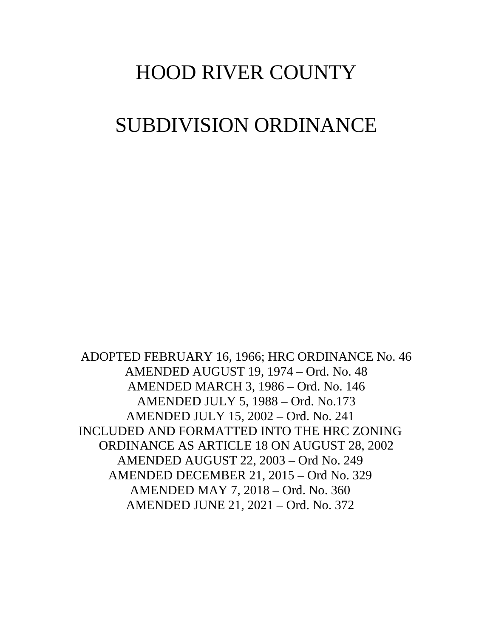# HOOD RIVER COUNTY

# SUBDIVISION ORDINANCE

ADOPTED FEBRUARY 16, 1966; HRC ORDINANCE No. 46 AMENDED AUGUST 19, 1974 – Ord. No. 48 AMENDED MARCH 3, 1986 – Ord. No. 146 AMENDED JULY 5, 1988 – Ord. No.173 AMENDED JULY 15, 2002 – Ord. No. 241 INCLUDED AND FORMATTED INTO THE HRC ZONING ORDINANCE AS ARTICLE 18 ON AUGUST 28, 2002 AMENDED AUGUST 22, 2003 – Ord No. 249 AMENDED DECEMBER 21, 2015 – Ord No. 329 AMENDED MAY 7, 2018 – Ord. No. 360 AMENDED JUNE 21, 2021 – Ord. No. 372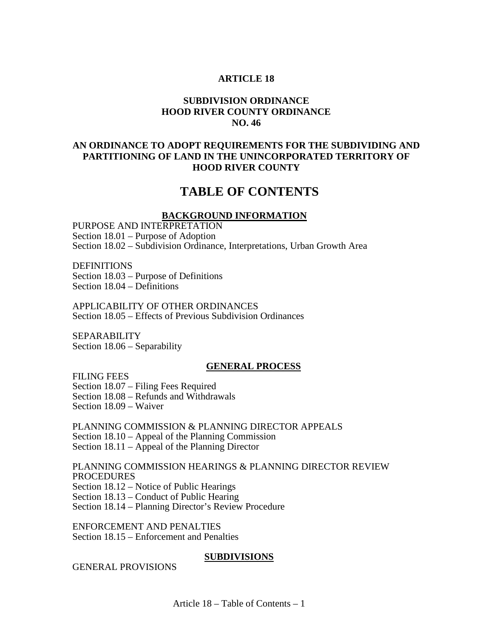#### **ARTICLE 18**

## **SUBDIVISION ORDINANCE HOOD RIVER COUNTY ORDINANCE NO. 46**

## **AN ORDINANCE TO ADOPT REQUIREMENTS FOR THE SUBDIVIDING AND PARTITIONING OF LAND IN THE UNINCORPORATED TERRITORY OF HOOD RIVER COUNTY**

# **TABLE OF CONTENTS**

#### **BACKGROUND INFORMATION**

PURPOSE AND INTERPRETATION Section 18.01 – Purpose of Adoption Section 18.02 – Subdivision Ordinance, Interpretations, Urban Growth Area

**DEFINITIONS** Section 18.03 – Purpose of Definitions Section 18.04 – Definitions

APPLICABILITY OF OTHER ORDINANCES Section 18.05 – Effects of Previous Subdivision Ordinances

SEPARABILITY Section 18.06 – Separability

#### **GENERAL PROCESS**

FILING FEES Section 18.07 – Filing Fees Required Section 18.08 – Refunds and Withdrawals Section 18.09 – Waiver

PLANNING COMMISSION & PLANNING DIRECTOR APPEALS Section 18.10 – Appeal of the Planning Commission Section 18.11 – Appeal of the Planning Director

PLANNING COMMISSION HEARINGS & PLANNING DIRECTOR REVIEW PROCEDURES Section 18.12 – Notice of Public Hearings Section 18.13 – Conduct of Public Hearing

Section 18.14 – Planning Director's Review Procedure

ENFORCEMENT AND PENALTIES Section 18.15 – Enforcement and Penalties

#### **SUBDIVISIONS**

GENERAL PROVISIONS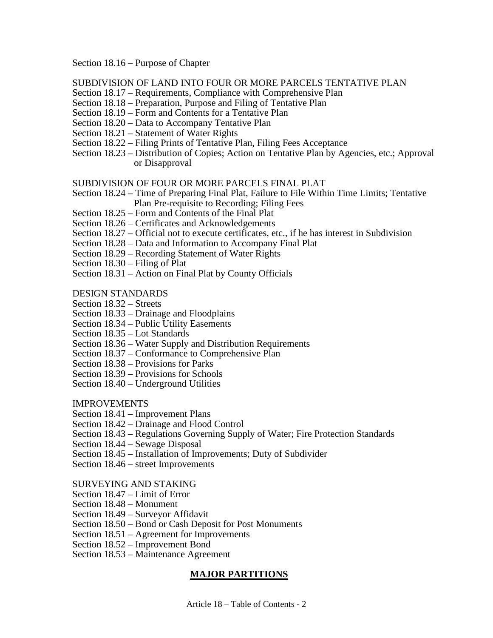Section 18.16 – Purpose of Chapter

SUBDIVISION OF LAND INTO FOUR OR MORE PARCELS TENTATIVE PLAN

- Section 18.17 Requirements, Compliance with Comprehensive Plan
- Section 18.18 Preparation, Purpose and Filing of Tentative Plan
- Section 18.19 Form and Contents for a Tentative Plan
- Section 18.20 Data to Accompany Tentative Plan
- Section 18.21 Statement of Water Rights
- Section 18.22 Filing Prints of Tentative Plan, Filing Fees Acceptance
- Section 18.23 Distribution of Copies; Action on Tentative Plan by Agencies, etc.; Approval or Disapproval

#### SUBDIVISION OF FOUR OR MORE PARCELS FINAL PLAT

- Section 18.24 Time of Preparing Final Plat, Failure to File Within Time Limits; Tentative Plan Pre-requisite to Recording; Filing Fees
- Section 18.25 Form and Contents of the Final Plat
- Section 18.26 Certificates and Acknowledgements
- Section 18.27 Official not to execute certificates, etc., if he has interest in Subdivision
- Section 18.28 Data and Information to Accompany Final Plat
- Section 18.29 Recording Statement of Water Rights
- Section 18.30 Filing of Plat
- Section 18.31 Action on Final Plat by County Officials
- DESIGN STANDARDS
- Section 18.32 Streets
- Section 18.33 Drainage and Floodplains
- Section 18.34 Public Utility Easements
- Section 18.35 Lot Standards
- Section 18.36 Water Supply and Distribution Requirements
- Section 18.37 Conformance to Comprehensive Plan
- Section 18.38 Provisions for Parks
- Section 18.39 Provisions for Schools
- Section 18.40 Underground Utilities

#### IMPROVEMENTS

- Section 18.41 Improvement Plans
- Section 18.42 Drainage and Flood Control
- Section 18.43 Regulations Governing Supply of Water; Fire Protection Standards
- Section 18.44 Sewage Disposal
- Section 18.45 Installation of Improvements; Duty of Subdivider
- Section 18.46 street Improvements

## SURVEYING AND STAKING

- Section 18.47 Limit of Error
- Section 18.48 Monument
- Section 18.49 Surveyor Affidavit
- Section 18.50 Bond or Cash Deposit for Post Monuments
- Section 18.51 Agreement for Improvements
- Section 18.52 Improvement Bond
- Section 18.53 Maintenance Agreement

## **MAJOR PARTITIONS**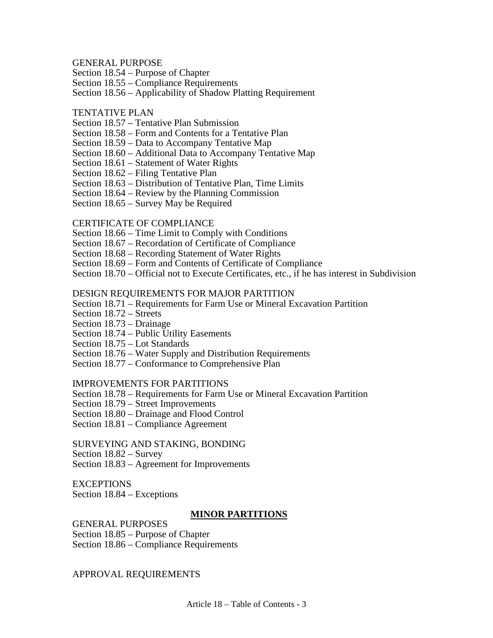#### GENERAL PURPOSE

Section 18.54 – Purpose of Chapter

Section 18.55 – Compliance Requirements

Section 18.56 – Applicability of Shadow Platting Requirement

#### TENTATIVE PLAN

Section 18.57 – Tentative Plan Submission

Section 18.58 – Form and Contents for a Tentative Plan

Section 18.59 – Data to Accompany Tentative Map

Section 18.60 – Additional Data to Accompany Tentative Map

Section 18.61 – Statement of Water Rights

Section 18.62 – Filing Tentative Plan

Section 18.63 – Distribution of Tentative Plan, Time Limits

Section 18.64 – Review by the Planning Commission

Section 18.65 – Survey May be Required

#### CERTIFICATE OF COMPLIANCE

Section 18.66 – Time Limit to Comply with Conditions

Section 18.67 – Recordation of Certificate of Compliance

Section 18.68 – Recording Statement of Water Rights

Section 18.69 – Form and Contents of Certificate of Compliance

Section 18.70 – Official not to Execute Certificates, etc., if he has interest in Subdivision

#### DESIGN REQUIREMENTS FOR MAJOR PARTITION

Section 18.71 – Requirements for Farm Use or Mineral Excavation Partition

Section 18.72 – Streets

Section 18.73 – Drainage

Section 18.74 – Public Utility Easements

Section 18.75 – Lot Standards

Section 18.76 – Water Supply and Distribution Requirements

Section 18.77 – Conformance to Comprehensive Plan

#### IMPROVEMENTS FOR PARTITIONS

Section 18.78 – Requirements for Farm Use or Mineral Excavation Partition

Section 18.79 – Street Improvements

Section 18.80 – Drainage and Flood Control

Section 18.81 – Compliance Agreement

SURVEYING AND STAKING, BONDING

Section 18.82 – Survey

Section 18.83 – Agreement for Improvements

#### **EXCEPTIONS**

Section 18.84 – Exceptions

#### **MINOR PARTITIONS**

GENERAL PURPOSES

Section 18.85 – Purpose of Chapter

Section 18.86 – Compliance Requirements

#### APPROVAL REQUIREMENTS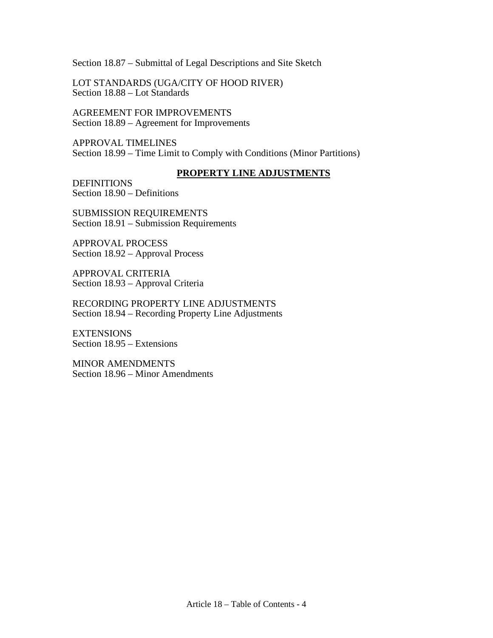Section 18.87 – Submittal of Legal Descriptions and Site Sketch

LOT STANDARDS (UGA/CITY OF HOOD RIVER) Section 18.88 – Lot Standards

AGREEMENT FOR IMPROVEMENTS Section 18.89 – Agreement for Improvements

APPROVAL TIMELINES Section 18.99 – Time Limit to Comply with Conditions (Minor Partitions)

#### **PROPERTY LINE ADJUSTMENTS**

DEFINITIONS Section 18.90 – Definitions

SUBMISSION REQUIREMENTS Section 18.91 – Submission Requirements

APPROVAL PROCESS Section 18.92 – Approval Process

APPROVAL CRITERIA Section 18.93 – Approval Criteria

RECORDING PROPERTY LINE ADJUSTMENTS Section 18.94 – Recording Property Line Adjustments

EXTENSIONS Section 18.95 – Extensions

MINOR AMENDMENTS Section 18.96 – Minor Amendments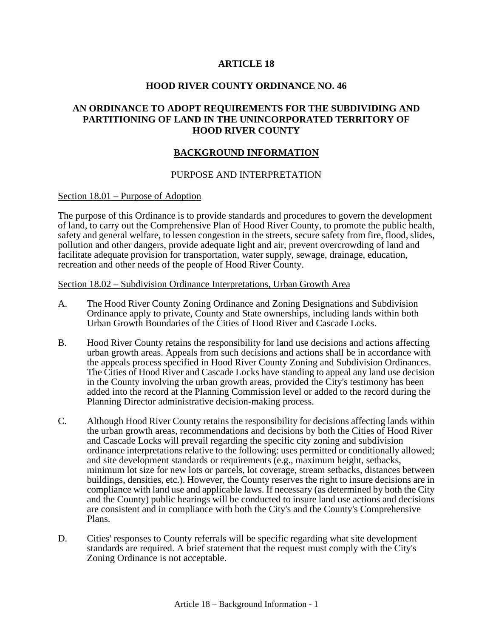## **ARTICLE 18**

#### **HOOD RIVER COUNTY ORDINANCE NO. 46**

## **AN ORDINANCE TO ADOPT REQUIREMENTS FOR THE SUBDIVIDING AND PARTITIONING OF LAND IN THE UNINCORPORATED TERRITORY OF HOOD RIVER COUNTY**

#### **BACKGROUND INFORMATION**

#### PURPOSE AND INTERPRETATION

#### Section 18.01 – Purpose of Adoption

The purpose of this Ordinance is to provide standards and procedures to govern the development of land, to carry out the Comprehensive Plan of Hood River County, to promote the public health, safety and general welfare, to lessen congestion in the streets, secure safety from fire, flood, slides, pollution and other dangers, provide adequate light and air, prevent overcrowding of land and facilitate adequate provision for transportation, water supply, sewage, drainage, education, recreation and other needs of the people of Hood River County.

#### Section 18.02 – Subdivision Ordinance Interpretations, Urban Growth Area

- A. The Hood River County Zoning Ordinance and Zoning Designations and Subdivision Ordinance apply to private, County and State ownerships, including lands within both Urban Growth Boundaries of the Cities of Hood River and Cascade Locks.
- B. Hood River County retains the responsibility for land use decisions and actions affecting urban growth areas. Appeals from such decisions and actions shall be in accordance with the appeals process specified in Hood River County Zoning and Subdivision Ordinances. The Cities of Hood River and Cascade Locks have standing to appeal any land use decision in the County involving the urban growth areas, provided the City's testimony has been added into the record at the Planning Commission level or added to the record during the Planning Director administrative decision-making process.
- C. Although Hood River County retains the responsibility for decisions affecting lands within the urban growth areas, recommendations and decisions by both the Cities of Hood River and Cascade Locks will prevail regarding the specific city zoning and subdivision ordinance interpretations relative to the following: uses permitted or conditionally allowed; and site development standards or requirements (e.g., maximum height, setbacks, minimum lot size for new lots or parcels, lot coverage, stream setbacks, distances between buildings, densities, etc.). However, the County reserves the right to insure decisions are in compliance with land use and applicable laws. If necessary (as determined by both the City and the County) public hearings will be conducted to insure land use actions and decisions are consistent and in compliance with both the City's and the County's Comprehensive Plans.
- D. Cities' responses to County referrals will be specific regarding what site development standards are required. A brief statement that the request must comply with the City's Zoning Ordinance is not acceptable.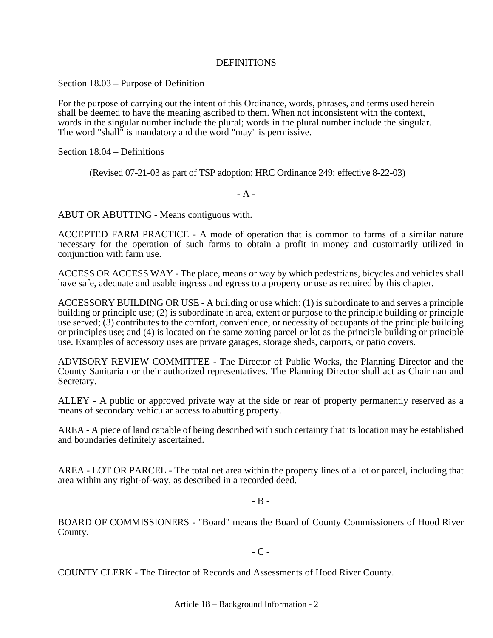## **DEFINITIONS**

#### Section 18.03 – Purpose of Definition

For the purpose of carrying out the intent of this Ordinance, words, phrases, and terms used herein shall be deemed to have the meaning ascribed to them. When not inconsistent with the context, words in the singular number include the plural; words in the plural number include the singular. The word "shall" is mandatory and the word "may" is permissive.

#### Section 18.04 – Definitions

(Revised 07-21-03 as part of TSP adoption; HRC Ordinance 249; effective 8-22-03)

#### - A -

ABUT OR ABUTTING - Means contiguous with.

ACCEPTED FARM PRACTICE - A mode of operation that is common to farms of a similar nature necessary for the operation of such farms to obtain a profit in money and customarily utilized in conjunction with farm use.

ACCESS OR ACCESS WAY - The place, means or way by which pedestrians, bicycles and vehicles shall have safe, adequate and usable ingress and egress to a property or use as required by this chapter.

ACCESSORY BUILDING OR USE - A building or use which: (1) is subordinate to and serves a principle building or principle use; (2) is subordinate in area, extent or purpose to the principle building or principle use served; (3) contributes to the comfort, convenience, or necessity of occupants of the principle building or principles use; and (4) is located on the same zoning parcel or lot as the principle building or principle use. Examples of accessory uses are private garages, storage sheds, carports, or patio covers.

ADVISORY REVIEW COMMITTEE - The Director of Public Works, the Planning Director and the County Sanitarian or their authorized representatives. The Planning Director shall act as Chairman and Secretary.

ALLEY - A public or approved private way at the side or rear of property permanently reserved as a means of secondary vehicular access to abutting property.

AREA - A piece of land capable of being described with such certainty that its location may be established and boundaries definitely ascertained.

AREA - LOT OR PARCEL - The total net area within the property lines of a lot or parcel, including that area within any right-of-way, as described in a recorded deed.

 $-$  B  $-$ 

BOARD OF COMMISSIONERS - "Board" means the Board of County Commissioners of Hood River County.

 $-C -$ 

COUNTY CLERK - The Director of Records and Assessments of Hood River County.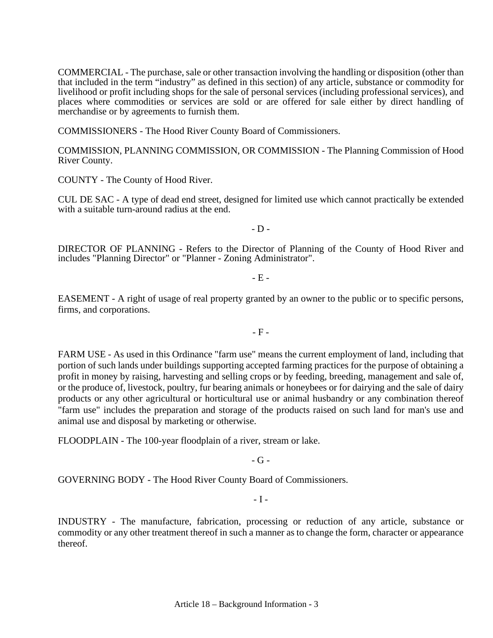COMMERCIAL - The purchase, sale or other transaction involving the handling or disposition (other than that included in the term "industry" as defined in this section) of any article, substance or commodity for livelihood or profit including shops for the sale of personal services (including professional services), and places where commodities or services are sold or are offered for sale either by direct handling of merchandise or by agreements to furnish them.

COMMISSIONERS - The Hood River County Board of Commissioners.

COMMISSION, PLANNING COMMISSION, OR COMMISSION - The Planning Commission of Hood River County.

COUNTY - The County of Hood River.

CUL DE SAC - A type of dead end street, designed for limited use which cannot practically be extended with a suitable turn-around radius at the end.

 $-D -$ 

DIRECTOR OF PLANNING - Refers to the Director of Planning of the County of Hood River and includes "Planning Director" or "Planner - Zoning Administrator".

 $-E -$ 

EASEMENT - A right of usage of real property granted by an owner to the public or to specific persons, firms, and corporations.

- F -

FARM USE - As used in this Ordinance "farm use" means the current employment of land, including that portion of such lands under buildings supporting accepted farming practices for the purpose of obtaining a profit in money by raising, harvesting and selling crops or by feeding, breeding, management and sale of, or the produce of, livestock, poultry, fur bearing animals or honeybees or for dairying and the sale of dairy products or any other agricultural or horticultural use or animal husbandry or any combination thereof "farm use" includes the preparation and storage of the products raised on such land for man's use and animal use and disposal by marketing or otherwise.

FLOODPLAIN - The 100-year floodplain of a river, stream or lake.

 $-G -$ 

GOVERNING BODY - The Hood River County Board of Commissioners.

 $-I -$ 

INDUSTRY - The manufacture, fabrication, processing or reduction of any article, substance or commodity or any other treatment thereof in such a manner as to change the form, character or appearance thereof.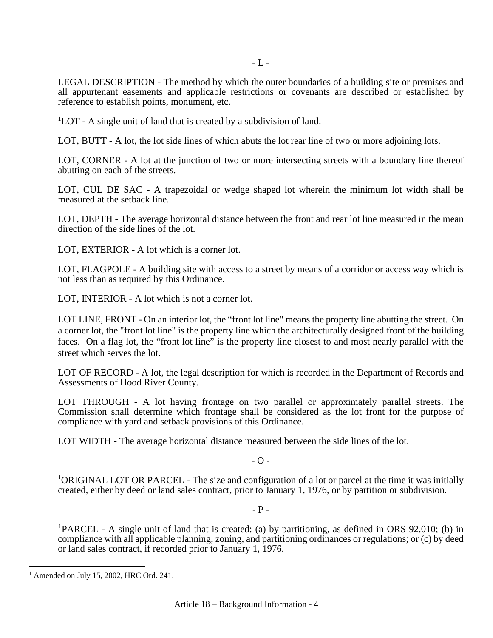LEGAL DESCRIPTION - The method by which the outer boundaries of a building site or premises and all appurtenant easements and applicable restrictions or covenants are described or established by reference to establish points, monument, etc.

<sup>1</sup>LOT - A single unit of land that is created by a subdivision of land.

LOT, BUTT - A lot, the lot side lines of which abuts the lot rear line of two or more adjoining lots.

LOT, CORNER - A lot at the junction of two or more intersecting streets with a boundary line thereof abutting on each of the streets.

LOT, CUL DE SAC - A trapezoidal or wedge shaped lot wherein the minimum lot width shall be measured at the setback line.

LOT, DEPTH - The average horizontal distance between the front and rear lot line measured in the mean direction of the side lines of the lot.

LOT, EXTERIOR - A lot which is a corner lot.

LOT, FLAGPOLE - A building site with access to a street by means of a corridor or access way which is not less than as required by this Ordinance.

LOT, INTERIOR - A lot which is not a corner lot.

LOT LINE, FRONT - On an interior lot, the "front lot line" means the property line abutting the street. On a corner lot, the "front lot line" is the property line which the architecturally designed front of the building faces. On a flag lot, the "front lot line" is the property line closest to and most nearly parallel with the street which serves the lot.

LOT OF RECORD - A lot, the legal description for which is recorded in the Department of Records and Assessments of Hood River County.

LOT THROUGH - A lot having frontage on two parallel or approximately parallel streets. The Commission shall determine which frontage shall be considered as the lot front for the purpose of compliance with yard and setback provisions of this Ordinance.

LOT WIDTH - The average horizontal distance measured between the side lines of the lot.

 $-$  O  $-$ 

<sup>1</sup>ORIGINAL LOT OR PARCEL - The size and configuration of a lot or parcel at the time it was initially created, either by deed or land sales contract, prior to January 1, 1976, or by partition or subdivision.

 $-$  P  $-$ 

<sup>[1](#page-8-0)</sup>PARCEL - A single unit of land that is created: (a) by partitioning, as defined in ORS 92.010; (b) in compliance with all applicable planning, zoning, and partitioning ordinances or regulations; or (c) by deed or land sales contract, if recorded prior to January 1, 1976.

<span id="page-8-0"></span> $<sup>1</sup>$  Amended on July 15, 2002, HRC Ord. 241.</sup>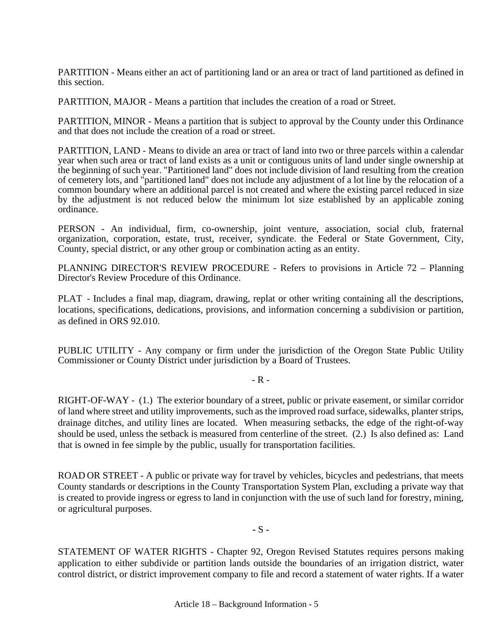PARTITION - Means either an act of partitioning land or an area or tract of land partitioned as defined in this section.

PARTITION, MAJOR - Means a partition that includes the creation of a road or Street.

PARTITION, MINOR - Means a partition that is subject to approval by the County under this Ordinance and that does not include the creation of a road or street.

PARTITION, LAND - Means to divide an area or tract of land into two or three parcels within a calendar year when such area or tract of land exists as a unit or contiguous units of land under single ownership at the beginning of such year. "Partitioned land" does not include division of land resulting from the creation of cemetery lots, and "partitioned land" does not include any adjustment of a lot line by the relocation of a common boundary where an additional parcel is not created and where the existing parcel reduced in size by the adjustment is not reduced below the minimum lot size established by an applicable zoning ordinance.

PERSON - An individual, firm, co-ownership, joint venture, association, social club, fraternal organization, corporation, estate, trust, receiver, syndicate. the Federal or State Government, City, County, special district, or any other group or combination acting as an entity.

PLANNING DIRECTOR'S REVIEW PROCEDURE - Refers to provisions in Article 72 – Planning Director's Review Procedure of this Ordinance.

PLAT - Includes a final map, diagram, drawing, replat or other writing containing all the descriptions, locations, specifications, dedications, provisions, and information concerning a subdivision or partition, as defined in ORS 92.010.

PUBLIC UTILITY - Any company or firm under the jurisdiction of the Oregon State Public Utility Commissioner or County District under jurisdiction by a Board of Trustees.

 $-R -$ 

RIGHT-OF-WAY - (1.) The exterior boundary of a street, public or private easement, or similar corridor of land where street and utility improvements, such as the improved road surface, sidewalks, planter strips, drainage ditches, and utility lines are located. When measuring setbacks, the edge of the right-of-way should be used, unless the setback is measured from centerline of the street. (2.) Is also defined as: Land that is owned in fee simple by the public, usually for transportation facilities.

ROAD OR STREET - A public or private way for travel by vehicles, bicycles and pedestrians, that meets County standards or descriptions in the County Transportation System Plan, excluding a private way that is created to provide ingress or egress to land in conjunction with the use of such land for forestry, mining, or agricultural purposes.

**-** S **-**

STATEMENT OF WATER RIGHTS - Chapter 92, Oregon Revised Statutes requires persons making application to either subdivide or partition lands outside the boundaries of an irrigation district, water control district, or district improvement company to file and record a statement of water rights. If a water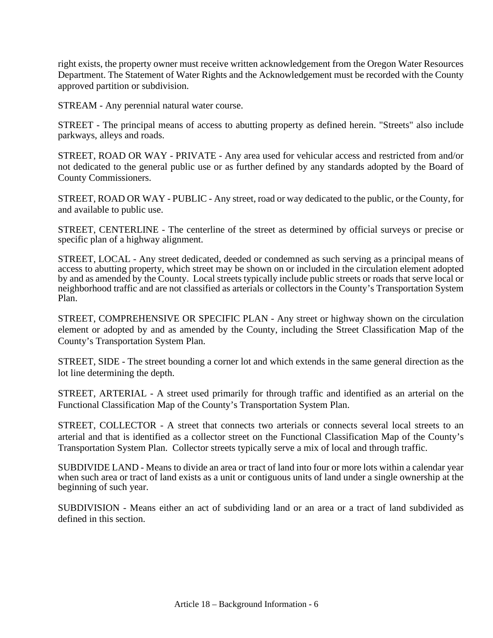right exists, the property owner must receive written acknowledgement from the Oregon Water Resources Department. The Statement of Water Rights and the Acknowledgement must be recorded with the County approved partition or subdivision.

STREAM - Any perennial natural water course.

STREET - The principal means of access to abutting property as defined herein. "Streets" also include parkways, alleys and roads.

STREET, ROAD OR WAY - PRIVATE - Any area used for vehicular access and restricted from and/or not dedicated to the general public use or as further defined by any standards adopted by the Board of County Commissioners.

STREET, ROAD OR WAY - PUBLIC - Any street, road or way dedicated to the public, or the County, for and available to public use.

STREET, CENTERLINE - The centerline of the street as determined by official surveys or precise or specific plan of a highway alignment.

STREET, LOCAL - Any street dedicated, deeded or condemned as such serving as a principal means of access to abutting property, which street may be shown on or included in the circulation element adopted by and as amended by the County. Local streets typically include public streets or roads that serve local or neighborhood traffic and are not classified as arterials or collectors in the County's Transportation System Plan.

STREET, COMPREHENSIVE OR SPECIFIC PLAN - Any street or highway shown on the circulation element or adopted by and as amended by the County, including the Street Classification Map of the County's Transportation System Plan.

STREET, SIDE - The street bounding a corner lot and which extends in the same general direction as the lot line determining the depth.

STREET, ARTERIAL - A street used primarily for through traffic and identified as an arterial on the Functional Classification Map of the County's Transportation System Plan.

STREET, COLLECTOR - A street that connects two arterials or connects several local streets to an arterial and that is identified as a collector street on the Functional Classification Map of the County's Transportation System Plan. Collector streets typically serve a mix of local and through traffic.

SUBDIVIDE LAND - Means to divide an area or tract of land into four or more lots within a calendar year when such area or tract of land exists as a unit or contiguous units of land under a single ownership at the beginning of such year.

SUBDIVISION - Means either an act of subdividing land or an area or a tract of land subdivided as defined in this section.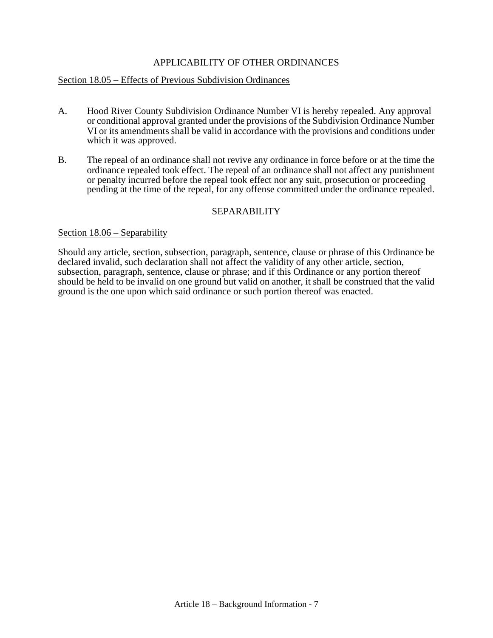## APPLICABILITY OF OTHER ORDINANCES

#### Section 18.05 – Effects of Previous Subdivision Ordinances

- A. Hood River County Subdivision Ordinance Number VI is hereby repealed. Any approval or conditional approval granted under the provisions of the Subdivision Ordinance Number VI or its amendments shall be valid in accordance with the provisions and conditions under which it was approved.
- B. The repeal of an ordinance shall not revive any ordinance in force before or at the time the ordinance repealed took effect. The repeal of an ordinance shall not affect any punishment or penalty incurred before the repeal took effect nor any suit, prosecution or proceeding pending at the time of the repeal, for any offense committed under the ordinance repealed.

#### SEPARABILITY

#### Section 18.06 – Separability

Should any article, section, subsection, paragraph, sentence, clause or phrase of this Ordinance be declared invalid, such declaration shall not affect the validity of any other article, section, subsection, paragraph, sentence, clause or phrase; and if this Ordinance or any portion thereof should be held to be invalid on one ground but valid on another, it shall be construed that the valid ground is the one upon which said ordinance or such portion thereof was enacted.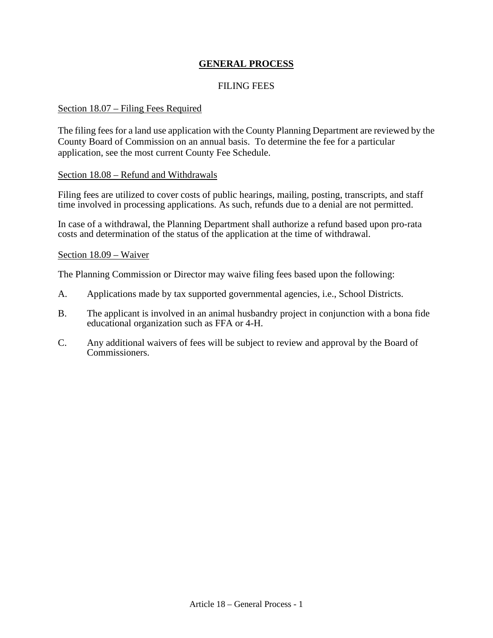## **GENERAL PROCESS**

## FILING FEES

#### Section 18.07 – Filing Fees Required

The filing fees for a land use application with the County Planning Department are reviewed by the County Board of Commission on an annual basis. To determine the fee for a particular application, see the most current County Fee Schedule.

#### Section 18.08 – Refund and Withdrawals

Filing fees are utilized to cover costs of public hearings, mailing, posting, transcripts, and staff time involved in processing applications. As such, refunds due to a denial are not permitted.

In case of a withdrawal, the Planning Department shall authorize a refund based upon pro-rata costs and determination of the status of the application at the time of withdrawal.

#### Section 18.09 – Waiver

The Planning Commission or Director may waive filing fees based upon the following:

- A. Applications made by tax supported governmental agencies, i.e., School Districts.
- B. The applicant is involved in an animal husbandry project in conjunction with a bona fide educational organization such as FFA or 4-H.
- C. Any additional waivers of fees will be subject to review and approval by the Board of Commissioners.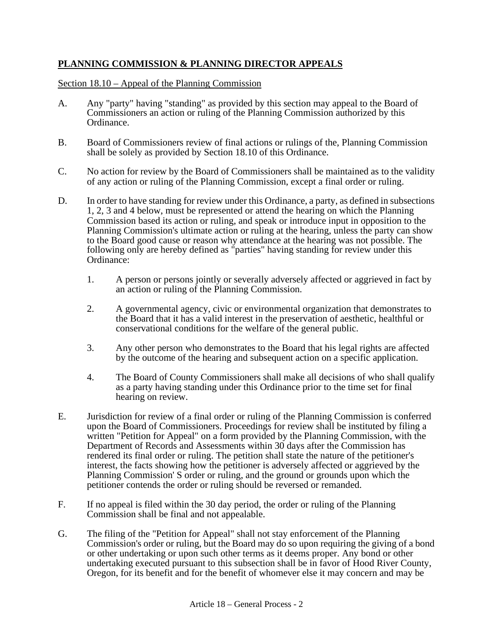# **PLANNING COMMISSION & PLANNING DIRECTOR APPEALS**

Section 18.10 – Appeal of the Planning Commission

- A. Any "party" having "standing" as provided by this section may appeal to the Board of Commissioners an action or ruling of the Planning Commission authorized by this Ordinance.
- B. Board of Commissioners review of final actions or rulings of the, Planning Commission shall be solely as provided by Section 18.10 of this Ordinance.
- C. No action for review by the Board of Commissioners shall be maintained as to the validity of any action or ruling of the Planning Commission, except a final order or ruling.
- D. In order to have standing for review under this Ordinance, a party, as defined in subsections 1, 2, 3 and 4 below, must be represented or attend the hearing on which the Planning Commission based its action or ruling, and speak or introduce input in opposition to the Planning Commission's ultimate action or ruling at the hearing, unless the party can show to the Board good cause or reason why attendance at the hearing was not possible. The following only are hereby defined as "parties" having standing for review under this Ordinance:
	- 1. A person or persons jointly or severally adversely affected or aggrieved in fact by an action or ruling of the Planning Commission.
	- 2. A governmental agency, civic or environmental organization that demonstrates to the Board that it has a valid interest in the preservation of aesthetic, healthful or conservational conditions for the welfare of the general public.
	- 3. Any other person who demonstrates to the Board that his legal rights are affected by the outcome of the hearing and subsequent action on a specific application.
	- 4. The Board of County Commissioners shall make all decisions of who shall qualify as a party having standing under this Ordinance prior to the time set for final hearing on review.
- E. Jurisdiction for review of a final order or ruling of the Planning Commission is conferred upon the Board of Commissioners. Proceedings for review shall be instituted by filing a written "Petition for Appeal" on a form provided by the Planning Commission, with the Department of Records and Assessments within 30 days after the Commission has rendered its final order or ruling. The petition shall state the nature of the petitioner's interest, the facts showing how the petitioner is adversely affected or aggrieved by the Planning Commission' S order or ruling, and the ground or grounds upon which the petitioner contends the order or ruling should be reversed or remanded.
- F. If no appeal is filed within the 30 day period, the order or ruling of the Planning Commission shall be final and not appealable.
- G. The filing of the "Petition for Appeal" shall not stay enforcement of the Planning Commission's order or ruling, but the Board may do so upon requiring the giving of a bond or other undertaking or upon such other terms as it deems proper. Any bond or other undertaking executed pursuant to this subsection shall be in favor of Hood River County, Oregon, for its benefit and for the benefit of whomever else it may concern and may be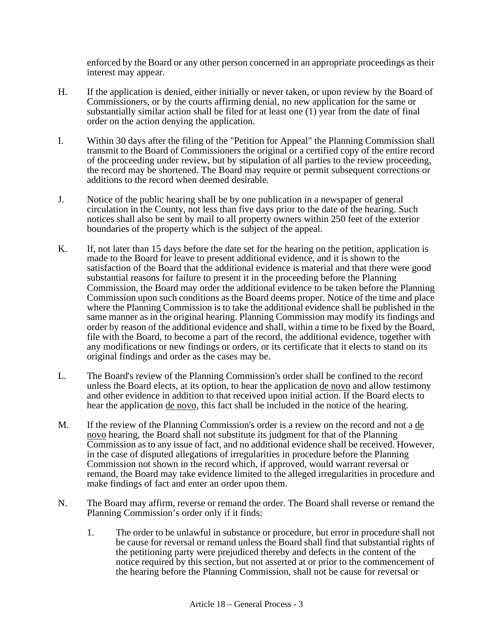enforced by the Board or any other person concerned in an appropriate proceedings as their interest may appear.

- H. If the application is denied, either initially or never taken, or upon review by the Board of Commissioners, or by the courts affirming denial, no new application for the same or substantially similar action shall be filed for at least one  $(1)$  year from the date of final order on the action denying the application.
- I. Within 30 days after the filing of the "Petition for Appeal" the Planning Commission shall transmit to the Board of Commissioners the original or a certified copy of the entire record of the proceeding under review, but by stipulation of all parties to the review proceeding, the record may be shortened. The Board may require or permit subsequent corrections or additions to the record when deemed desirable.
- J. Notice of the public hearing shall be by one publication in a newspaper of general circulation in the County, not less than five days prior to the date of the hearing. Such notices shall also be sent by mail to all property owners within 250 feet of the exterior boundaries of the property which is the subject of the appeal.
- K. If, not later than 15 days before the date set for the hearing on the petition, application is made to the Board for leave to present additional evidence, and it is shown to the satisfaction of the Board that the additional evidence is material and that there were good substantial reasons for failure to present it in the proceeding before the Planning Commission, the Board may order the additional evidence to be taken before the Planning Commission upon such conditions as the Board deems proper. Notice of the time and place where the Planning Commission is to take the additional evidence shall be published in the same manner as in the original hearing. Planning Commission may modify its findings and order by reason of the additional evidence and shall, within a time to be fixed by the Board, file with the Board, to become a part of the record, the additional evidence, together with any modifications or new findings or orders, or its certificate that it elects to stand on its original findings and order as the cases may be.
- L. The Board's review of the Planning Commission's order shall be confined to the record unless the Board elects, at its option, to hear the application de novo and allow testimony and other evidence in addition to that received upon initial action. If the Board elects to hear the application de novo, this fact shall be included in the notice of the hearing.
- M. If the review of the Planning Commission's order is a review on the record and not a de novo hearing, the Board shall not substitute its judgment for that of the Planning Commission as to any issue of fact, and no additional evidence shall be received. However, in the case of disputed allegations of irregularities in procedure before the Planning Commission not shown in the record which, if approved, would warrant reversal or remand, the Board may take evidence limited to the alleged irregularities in procedure and make findings of fact and enter an order upon them.
- N. The Board may affirm, reverse or remand the order. The Board shall reverse or remand the Planning Commission's order only if it finds:
	- 1. The order to be unlawful in substance or procedure, but error in procedure shall not be cause for reversal or remand unless the Board shall find that substantial rights of the petitioning party were prejudiced thereby and defects in the content of the notice required by this section, but not asserted at or prior to the commencement of the hearing before the Planning Commission, shall not be cause for reversal or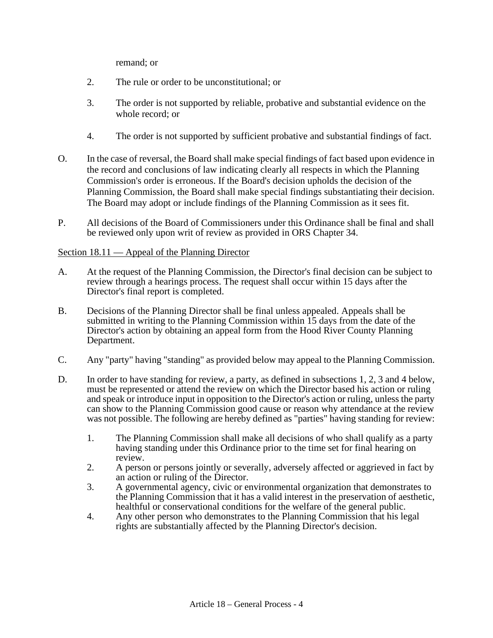remand; or

- 2. The rule or order to be unconstitutional; or
- 3. The order is not supported by reliable, probative and substantial evidence on the whole record; or
- 4. The order is not supported by sufficient probative and substantial findings of fact.
- O. In the case of reversal, the Board shall make special findings of fact based upon evidence in the record and conclusions of law indicating clearly all respects in which the Planning Commission's order is erroneous. If the Board's decision upholds the decision of the Planning Commission, the Board shall make special findings substantiating their decision. The Board may adopt or include findings of the Planning Commission as it sees fit.
- P. All decisions of the Board of Commissioners under this Ordinance shall be final and shall be reviewed only upon writ of review as provided in ORS Chapter 34.

## Section 18.11 — Appeal of the Planning Director

- A. At the request of the Planning Commission, the Director's final decision can be subject to review through a hearings process. The request shall occur within 15 days after the Director's final report is completed.
- B. Decisions of the Planning Director shall be final unless appealed. Appeals shall be submitted in writing to the Planning Commission within 15 days from the date of the Director's action by obtaining an appeal form from the Hood River County Planning Department.
- C. Any "party" having "standing" as provided below may appeal to the Planning Commission.
- D. In order to have standing for review, a party, as defined in subsections 1, 2, 3 and 4 below, must be represented or attend the review on which the Director based his action or ruling and speak or introduce input in opposition to the Director's action or ruling, unless the party can show to the Planning Commission good cause or reason why attendance at the review was not possible. The following are hereby defined as "parties" having standing for review:
	- 1. The Planning Commission shall make all decisions of who shall qualify as a party having standing under this Ordinance prior to the time set for final hearing on review.
	- 2. A person or persons jointly or severally, adversely affected or aggrieved in fact by an action or ruling of the Director.
	- 3. A governmental agency, civic or environmental organization that demonstrates to the Planning Commission that it has a valid interest in the preservation of aesthetic, healthful or conservational conditions for the welfare of the general public.
	- 4. Any other person who demonstrates to the Planning Commission that his legal rights are substantially affected by the Planning Director's decision.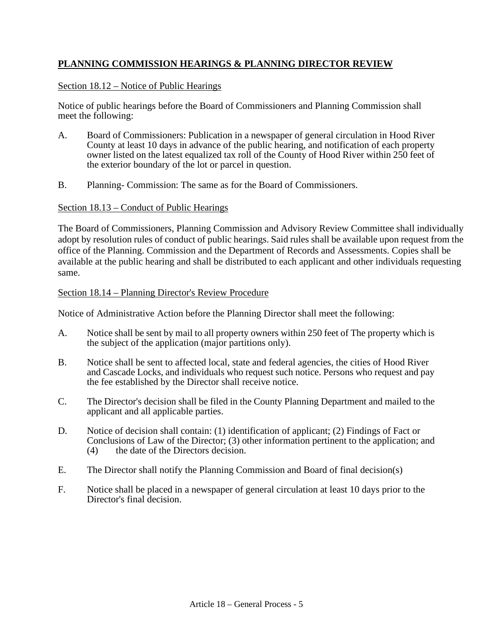# **PLANNING COMMISSION HEARINGS & PLANNING DIRECTOR REVIEW**

## Section 18.12 – Notice of Public Hearings

Notice of public hearings before the Board of Commissioners and Planning Commission shall meet the following:

- A. Board of Commissioners: Publication in a newspaper of general circulation in Hood River County at least 10 days in advance of the public hearing, and notification of each property owner listed on the latest equalized tax roll of the County of Hood River within 250 feet of the exterior boundary of the lot or parcel in question.
- B. Planning- Commission: The same as for the Board of Commissioners.

## Section 18.13 – Conduct of Public Hearings

The Board of Commissioners, Planning Commission and Advisory Review Committee shall individually adopt by resolution rules of conduct of public hearings. Said rules shall be available upon request from the office of the Planning. Commission and the Department of Records and Assessments. Copies shall be available at the public hearing and shall be distributed to each applicant and other individuals requesting same.

#### Section 18.14 – Planning Director's Review Procedure

Notice of Administrative Action before the Planning Director shall meet the following:

- A. Notice shall be sent by mail to all property owners within 250 feet of The property which is the subject of the application (major partitions only).
- B. Notice shall be sent to affected local, state and federal agencies, the cities of Hood River and Cascade Locks, and individuals who request such notice. Persons who request and pay the fee established by the Director shall receive notice.
- C. The Director's decision shall be filed in the County Planning Department and mailed to the applicant and all applicable parties.
- D. Notice of decision shall contain: (1) identification of applicant; (2) Findings of Fact or Conclusions of Law of the Director; (3) other information pertinent to the application; and (4) the date of the Directors decision.
- E. The Director shall notify the Planning Commission and Board of final decision(s)
- F. Notice shall be placed in a newspaper of general circulation at least 10 days prior to the Director's final decision.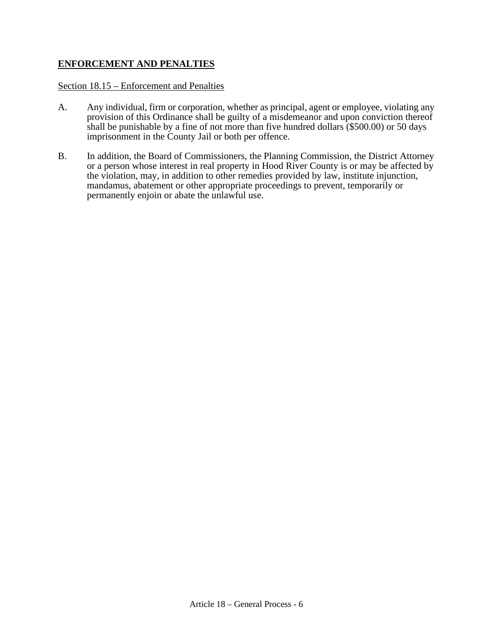## **ENFORCEMENT AND PENALTIES**

#### Section 18.15 – Enforcement and Penalties

- A. Any individual, firm or corporation, whether as principal, agent or employee, violating any provision of this Ordinance shall be guilty of a misdemeanor and upon conviction thereof shall be punishable by a fine of not more than five hundred dollars (\$500.00) or 50 days imprisonment in the County Jail or both per offence.
- B. In addition, the Board of Commissioners, the Planning Commission, the District Attorney or a person whose interest in real property in Hood River County is or may be affected by the violation, may, in addition to other remedies provided by law, institute injunction, mandamus, abatement or other appropriate proceedings to prevent, temporarily or permanently enjoin or abate the unlawful use.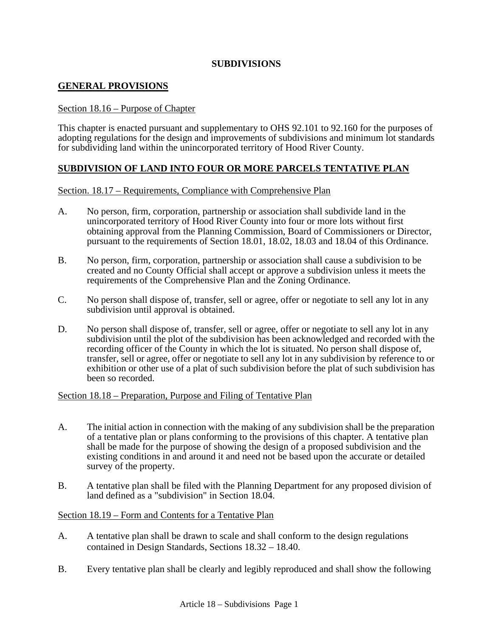## **SUBDIVISIONS**

## **GENERAL PROVISIONS**

#### Section 18.16 – Purpose of Chapter

This chapter is enacted pursuant and supplementary to OHS 92.101 to 92.160 for the purposes of adopting regulations for the design and improvements of subdivisions and minimum lot standards for subdividing land within the unincorporated territory of Hood River County.

## **SUBDIVISION OF LAND INTO FOUR OR MORE PARCELS TENTATIVE PLAN**

#### Section. 18.17 – Requirements, Compliance with Comprehensive Plan

- A. No person, firm, corporation, partnership or association shall subdivide land in the unincorporated territory of Hood River County into four or more lots without first obtaining approval from the Planning Commission, Board of Commissioners or Director, pursuant to the requirements of Section 18.01, 18.02, 18.03 and 18.04 of this Ordinance.
- B. No person, firm, corporation, partnership or association shall cause a subdivision to be created and no County Official shall accept or approve a subdivision unless it meets the requirements of the Comprehensive Plan and the Zoning Ordinance.
- C. No person shall dispose of, transfer, sell or agree, offer or negotiate to sell any lot in any subdivision until approval is obtained.
- D. No person shall dispose of, transfer, sell or agree, offer or negotiate to sell any lot in any subdivision until the plot of the subdivision has been acknowledged and recorded with the recording officer of the County in which the lot is situated. No person shall dispose of, transfer, sell or agree, offer or negotiate to sell any lot in any subdivision by reference to or exhibition or other use of a plat of such subdivision before the plat of such subdivision has been so recorded.

#### Section 18.18 – Preparation, Purpose and Filing of Tentative Plan

- A. The initial action in connection with the making of any subdivision shall be the preparation of a tentative plan or plans conforming to the provisions of this chapter. A tentative plan shall be made for the purpose of showing the design of a proposed subdivision and the existing conditions in and around it and need not be based upon the accurate or detailed survey of the property.
- B. A tentative plan shall be filed with the Planning Department for any proposed division of land defined as a "subdivision" in Section 18.04.

#### Section 18.19 – Form and Contents for a Tentative Plan

- A. A tentative plan shall be drawn to scale and shall conform to the design regulations contained in Design Standards, Sections 18.32 – 18.40.
- B. Every tentative plan shall be clearly and legibly reproduced and shall show the following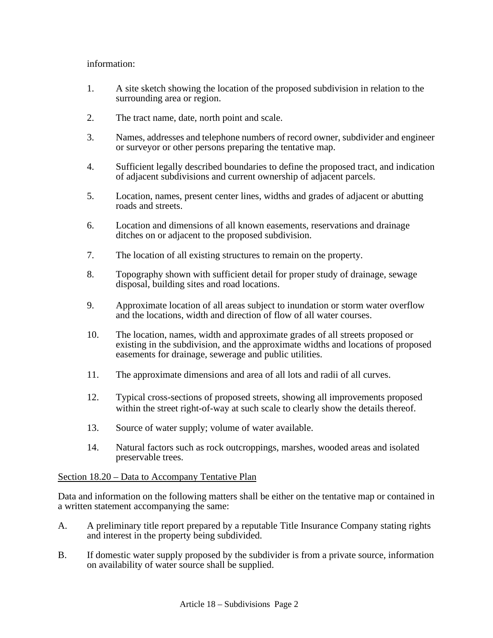## information:

- 1. A site sketch showing the location of the proposed subdivision in relation to the surrounding area or region.
- 2. The tract name, date, north point and scale.
- 3. Names, addresses and telephone numbers of record owner, subdivider and engineer or surveyor or other persons preparing the tentative map.
- 4. Sufficient legally described boundaries to define the proposed tract, and indication of adjacent subdivisions and current ownership of adjacent parcels.
- 5. Location, names, present center lines, widths and grades of adjacent or abutting roads and streets.
- 6. Location and dimensions of all known easements, reservations and drainage ditches on or adjacent to the proposed subdivision.
- 7. The location of all existing structures to remain on the property.
- 8. Topography shown with sufficient detail for proper study of drainage, sewage disposal, building sites and road locations.
- 9. Approximate location of all areas subject to inundation or storm water overflow and the locations, width and direction of flow of all water courses.
- 10. The location, names, width and approximate grades of all streets proposed or existing in the subdivision, and the approximate widths and locations of proposed easements for drainage, sewerage and public utilities.
- 11. The approximate dimensions and area of all lots and radii of all curves.
- 12. Typical cross-sections of proposed streets, showing all improvements proposed within the street right-of-way at such scale to clearly show the details thereof.
- 13. Source of water supply; volume of water available.
- 14. Natural factors such as rock outcroppings, marshes, wooded areas and isolated preservable trees.

## Section 18.20 – Data to Accompany Tentative Plan

Data and information on the following matters shall be either on the tentative map or contained in a written statement accompanying the same:

- A. A preliminary title report prepared by a reputable Title Insurance Company stating rights and interest in the property being subdivided.
- B. If domestic water supply proposed by the subdivider is from a private source, information on availability of water source shall be supplied.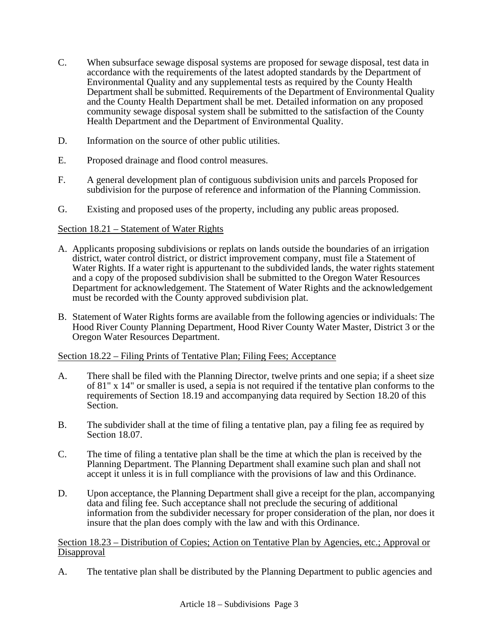- C. When subsurface sewage disposal systems are proposed for sewage disposal, test data in accordance with the requirements of the latest adopted standards by the Department of Environmental Quality and any supplemental tests as required by the County Health Department shall be submitted. Requirements of the Department of Environmental Quality and the County Health Department shall be met. Detailed information on any proposed community sewage disposal system shall be submitted to the satisfaction of the County Health Department and the Department of Environmental Quality.
- D. Information on the source of other public utilities.
- E. Proposed drainage and flood control measures.
- F. A general development plan of contiguous subdivision units and parcels Proposed for subdivision for the purpose of reference and information of the Planning Commission.
- G. Existing and proposed uses of the property, including any public areas proposed.

## Section 18.21 – Statement of Water Rights

- A. Applicants proposing subdivisions or replats on lands outside the boundaries of an irrigation district, water control district, or district improvement company, must file a Statement of Water Rights. If a water right is appurtenant to the subdivided lands, the water rights statement and a copy of the proposed subdivision shall be submitted to the Oregon Water Resources Department for acknowledgement. The Statement of Water Rights and the acknowledgement must be recorded with the County approved subdivision plat.
- B. Statement of Water Rights forms are available from the following agencies or individuals: The Hood River County Planning Department, Hood River County Water Master, District 3 or the Oregon Water Resources Department.

## Section 18.22 – Filing Prints of Tentative Plan; Filing Fees; Acceptance

- A. There shall be filed with the Planning Director, twelve prints and one sepia; if a sheet size of 81" x 14" or smaller is used, a sepia is not required if the tentative plan conforms to the requirements of Section 18.19 and accompanying data required by Section 18.20 of this Section.
- B. The subdivider shall at the time of filing a tentative plan, pay a filing fee as required by Section 18.07.
- C. The time of filing a tentative plan shall be the time at which the plan is received by the Planning Department. The Planning Department shall examine such plan and shall not accept it unless it is in full compliance with the provisions of law and this Ordinance.
- D. Upon acceptance, the Planning Department shall give a receipt for the plan, accompanying data and filing fee. Such acceptance shall not preclude the securing of additional information from the subdivider necessary for proper consideration of the plan, nor does it insure that the plan does comply with the law and with this Ordinance.

Section 18.23 – Distribution of Copies; Action on Tentative Plan by Agencies, etc.; Approval or Disapproval

A. The tentative plan shall be distributed by the Planning Department to public agencies and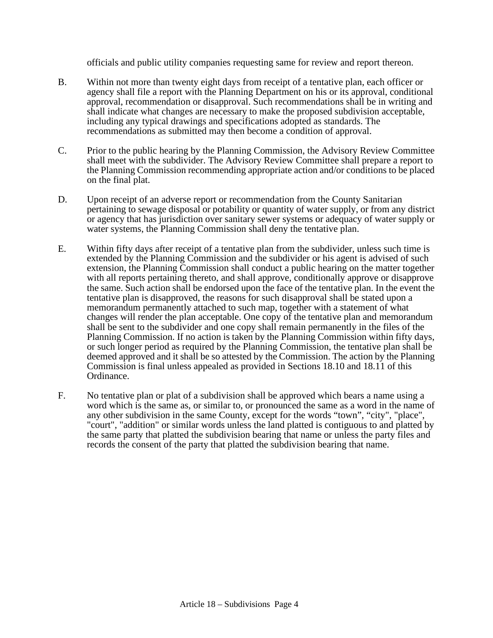officials and public utility companies requesting same for review and report thereon.

- B. Within not more than twenty eight days from receipt of a tentative plan, each officer or agency shall file a report with the Planning Department on his or its approval, conditional approval, recommendation or disapproval. Such recommendations shall be in writing and shall indicate what changes are necessary to make the proposed subdivision acceptable, including any typical drawings and specifications adopted as standards. The recommendations as submitted may then become a condition of approval.
- C. Prior to the public hearing by the Planning Commission, the Advisory Review Committee shall meet with the subdivider. The Advisory Review Committee shall prepare a report to the Planning Commission recommending appropriate action and/or conditions to be placed on the final plat.
- D. Upon receipt of an adverse report or recommendation from the County Sanitarian pertaining to sewage disposal or potability or quantity of water supply, or from any district or agency that has jurisdiction over sanitary sewer systems or adequacy of water supply or water systems, the Planning Commission shall deny the tentative plan.
- E. Within fifty days after receipt of a tentative plan from the subdivider, unless such time is extended by the Planning Commission and the subdivider or his agent is advised of such extension, the Planning Commission shall conduct a public hearing on the matter together with all reports pertaining thereto, and shall approve, conditionally approve or disapprove the same. Such action shall be endorsed upon the face of the tentative plan. In the event the tentative plan is disapproved, the reasons for such disapproval shall be stated upon a memorandum permanently attached to such map, together with a statement of what changes will render the plan acceptable. One copy of the tentative plan and memorandum shall be sent to the subdivider and one copy shall remain permanently in the files of the Planning Commission. If no action is taken by the Planning Commission within fifty days, or such longer period as required by the Planning Commission, the tentative plan shall be deemed approved and it shall be so attested by the Commission. The action by the Planning Commission is final unless appealed as provided in Sections 18.10 and 18.11 of this Ordinance.
- F. No tentative plan or plat of a subdivision shall be approved which bears a name using a word which is the same as, or similar to, or pronounced the same as a word in the name of any other subdivision in the same County, except for the words "town", "city", "place", "court", "addition" or similar words unless the land platted is contiguous to and platted by the same party that platted the subdivision bearing that name or unless the party files and records the consent of the party that platted the subdivision bearing that name.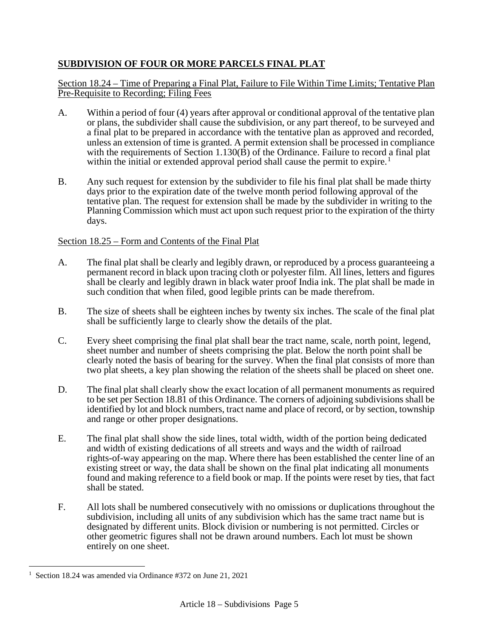# **SUBDIVISION OF FOUR OR MORE PARCELS FINAL PLAT**

## Section 18.24 – Time of Preparing a Final Plat, Failure to File Within Time Limits; Tentative Plan Pre-Requisite to Recording; Filing Fees

- A. Within a period of four (4) years after approval or conditional approval of the tentative plan or plans, the subdivider shall cause the subdivision, or any part thereof, to be surveyed and a final plat to be prepared in accordance with the tentative plan as approved and recorded, unless an extension of time is granted. A permit extension shall be processed in compliance with the requirements of Section 1.130 $(\vec{B})$  of the Ordinance. Failure to record a final plat within the initial or extended approval period shall cause the permit to expire.<sup>[1](#page-22-0)</sup>
- B. Any such request for extension by the subdivider to file his final plat shall be made thirty days prior to the expiration date of the twelve month period following approval of the tentative plan. The request for extension shall be made by the subdivider in writing to the Planning Commission which must act upon such request prior to the expiration of the thirty days.

## Section 18.25 – Form and Contents of the Final Plat

- A. The final plat shall be clearly and legibly drawn, or reproduced by a process guaranteeing a permanent record in black upon tracing cloth or polyester film. All lines, letters and figures shall be clearly and legibly drawn in black water proof India ink. The plat shall be made in such condition that when filed, good legible prints can be made therefrom.
- B. The size of sheets shall be eighteen inches by twenty six inches. The scale of the final plat shall be sufficiently large to clearly show the details of the plat.
- C. Every sheet comprising the final plat shall bear the tract name, scale, north point, legend, sheet number and number of sheets comprising the plat. Below the north point shall be clearly noted the basis of bearing for the survey. When the final plat consists of more than two plat sheets, a key plan showing the relation of the sheets shall be placed on sheet one.
- D. The final plat shall clearly show the exact location of all permanent monuments as required to be set per Section 18.81 of this Ordinance. The corners of adjoining subdivisions shall be identified by lot and block numbers, tract name and place of record, or by section, township and range or other proper designations.
- E. The final plat shall show the side lines, total width, width of the portion being dedicated and width of existing dedications of all streets and ways and the width of railroad rights-of-way appearing on the map. Where there has been established the center line of an existing street or way, the data shall be shown on the final plat indicating all monuments found and making reference to a field book or map. If the points were reset by ties, that fact shall be stated.
- F. All lots shall be numbered consecutively with no omissions or duplications throughout the subdivision, including all units of any subdivision which has the same tract name but is designated by different units. Block division or numbering is not permitted. Circles or other geometric figures shall not be drawn around numbers. Each lot must be shown entirely on one sheet.

<span id="page-22-0"></span><sup>1</sup> Section 18.24 was amended via Ordinance #372 on June 21, 2021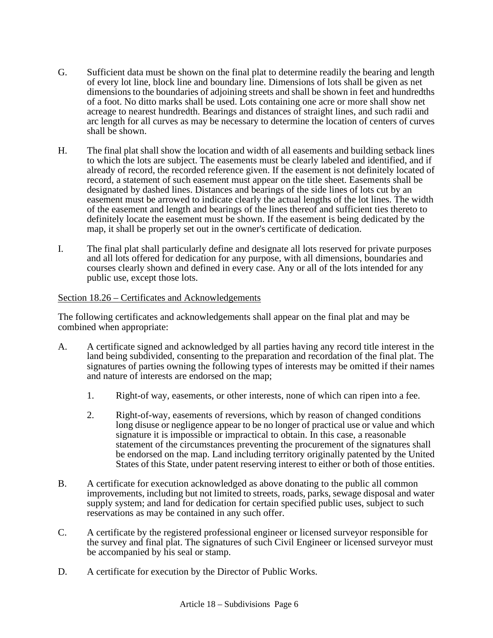- G. Sufficient data must be shown on the final plat to determine readily the bearing and length of every lot line, block line and boundary line. Dimensions of lots shall be given as net dimensions to the boundaries of adjoining streets and shall be shown in feet and hundredths of a foot. No ditto marks shall be used. Lots containing one acre or more shall show net acreage to nearest hundredth. Bearings and distances of straight lines, and such radii and arc length for all curves as may be necessary to determine the location of centers of curves shall be shown.
- H. The final plat shall show the location and width of all easements and building setback lines to which the lots are subject. The easements must be clearly labeled and identified, and if already of record, the recorded reference given. If the easement is not definitely located of record, a statement of such easement must appear on the title sheet. Easements shall be designated by dashed lines. Distances and bearings of the side lines of lots cut by an easement must be arrowed to indicate clearly the actual lengths of the lot lines. The width of the easement and length and bearings of the lines thereof and sufficient ties thereto to definitely locate the easement must be shown. If the easement is being dedicated by the map, it shall be properly set out in the owner's certificate of dedication.
- I. The final plat shall particularly define and designate all lots reserved for private purposes and all lots offered for dedication for any purpose, with all dimensions, boundaries and courses clearly shown and defined in every case. Any or all of the lots intended for any public use, except those lots.

#### Section 18.26 – Certificates and Acknowledgements

The following certificates and acknowledgements shall appear on the final plat and may be combined when appropriate:

- A. A certificate signed and acknowledged by all parties having any record title interest in the land being subdivided, consenting to the preparation and recordation of the final plat. The signatures of parties owning the following types of interests may be omitted if their names and nature of interests are endorsed on the map;
	- 1. Right-of way, easements, or other interests, none of which can ripen into a fee.
	- 2. Right-of-way, easements of reversions, which by reason of changed conditions long disuse or negligence appear to be no longer of practical use or value and which signature it is impossible or impractical to obtain. In this case, a reasonable statement of the circumstances preventing the procurement of the signatures shall be endorsed on the map. Land including territory originally patented by the United States of this State, under patent reserving interest to either or both of those entities.
- B. A certificate for execution acknowledged as above donating to the public all common improvements, including but not limited to streets, roads, parks, sewage disposal and water supply system; and land for dedication for certain specified public uses, subject to such reservations as may be contained in any such offer.
- C. A certificate by the registered professional engineer or licensed surveyor responsible for the survey and final plat. The signatures of such Civil Engineer or licensed surveyor must be accompanied by his seal or stamp.
- D. A certificate for execution by the Director of Public Works.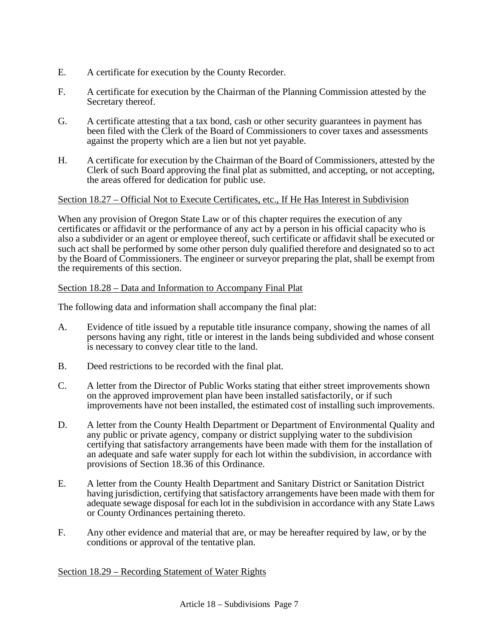- E. A certificate for execution by the County Recorder.
- F. A certificate for execution by the Chairman of the Planning Commission attested by the Secretary thereof.
- G. A certificate attesting that a tax bond, cash or other security guarantees in payment has been filed with the Clerk of the Board of Commissioners to cover taxes and assessments against the property which are a lien but not yet payable.
- H. A certificate for execution by the Chairman of the Board of Commissioners, attested by the Clerk of such Board approving the final plat as submitted, and accepting, or not accepting, the areas offered for dedication for public use.

## Section 18.27 – Official Not to Execute Certificates, etc., If He Has Interest in Subdivision

When any provision of Oregon State Law or of this chapter requires the execution of any certificates or affidavit or the performance of any act by a person in his official capacity who is also a subdivider or an agent or employee thereof, such certificate or affidavit shall be executed or such act shall be performed by some other person duly qualified therefore and designated so to act by the Board of Commissioners. The engineer or surveyor preparing the plat, shall be exempt from the requirements of this section.

## Section 18.28 – Data and Information to Accompany Final Plat

The following data and information shall accompany the final plat:

- A. Evidence of title issued by a reputable title insurance company, showing the names of all persons having any right, title or interest in the lands being subdivided and whose consent is necessary to convey clear title to the land.
- B. Deed restrictions to be recorded with the final plat.
- C. A letter from the Director of Public Works stating that either street improvements shown on the approved improvement plan have been installed satisfactorily, or if such improvements have not been installed, the estimated cost of installing such improvements.
- D. A letter from the County Health Department or Department of Environmental Quality and any public or private agency, company or district supplying water to the subdivision certifying that satisfactory arrangements have been made with them for the installation of an adequate and safe water supply for each lot within the subdivision, in accordance with provisions of Section 18.36 of this Ordinance.
- E. A letter from the County Health Department and Sanitary District or Sanitation District having jurisdiction, certifying that satisfactory arrangements have been made with them for adequate sewage disposal for each lot in the subdivision in accordance with any State Laws or County Ordinances pertaining thereto.
- F. Any other evidence and material that are, or may be hereafter required by law, or by the conditions or approval of the tentative plan.

## Section 18.29 – Recording Statement of Water Rights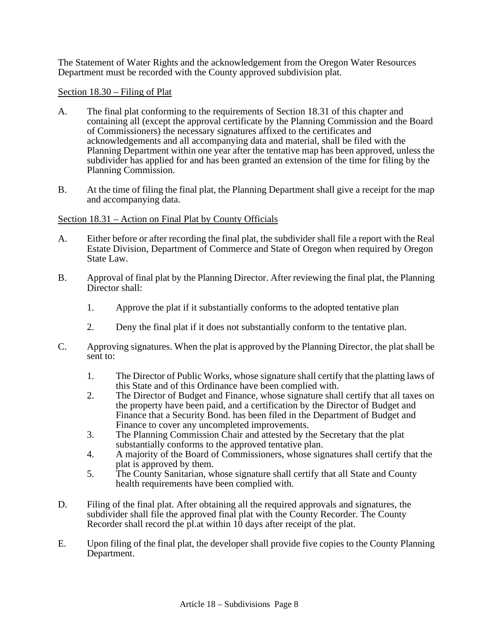The Statement of Water Rights and the acknowledgement from the Oregon Water Resources Department must be recorded with the County approved subdivision plat.

## Section 18.30 – Filing of Plat

- A. The final plat conforming to the requirements of Section 18.31 of this chapter and containing all (except the approval certificate by the Planning Commission and the Board of Commissioners) the necessary signatures affixed to the certificates and acknowledgements and all accompanying data and material, shall be filed with the Planning Department within one year after the tentative map has been approved, unless the subdivider has applied for and has been granted an extension of the time for filing by the Planning Commission.
- B. At the time of filing the final plat, the Planning Department shall give a receipt for the map and accompanying data.

## Section 18.31 – Action on Final Plat by County Officials

- A. Either before or after recording the final plat, the subdivider shall file a report with the Real Estate Division, Department of Commerce and State of Oregon when required by Oregon State Law.
- B. Approval of final plat by the Planning Director. After reviewing the final plat, the Planning Director shall:
	- 1. Approve the plat if it substantially conforms to the adopted tentative plan
	- 2. Deny the final plat if it does not substantially conform to the tentative plan.
- C. Approving signatures. When the plat is approved by the Planning Director, the plat shall be sent to:
	- 1. The Director of Public Works, whose signature shall certify that the platting laws of this State and of this Ordinance have been complied with.
	- 2. The Director of Budget and Finance, whose signature shall certify that all taxes on the property have been paid, and a certification by the Director of Budget and Finance that a Security Bond. has been filed in the Department of Budget and Finance to cover any uncompleted improvements.
	- 3. The Planning Commission Chair and attested by the Secretary that the plat substantially conforms to the approved tentative plan.
	- 4. A majority of the Board of Commissioners, whose signatures shall certify that the plat is approved by them.
	- 5. The County Sanitarian, whose signature shall certify that all State and County health requirements have been complied with.
- D. Filing of the final plat. After obtaining all the required approvals and signatures, the subdivider shall file the approved final plat with the County Recorder. The County Recorder shall record the pl.at within  $10$  days after receipt of the plat.
- E. Upon filing of the final plat, the developer shall provide five copies to the County Planning Department.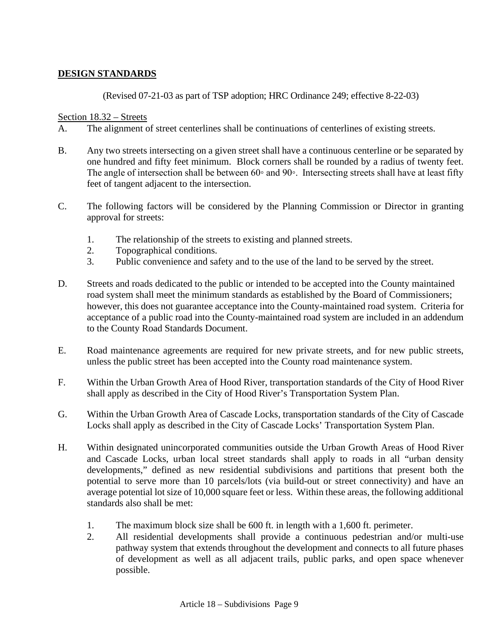# **DESIGN STANDARDS**

(Revised 07-21-03 as part of TSP adoption; HRC Ordinance 249; effective 8-22-03)

## Section 18.32 – Streets

- A. The alignment of street centerlines shall be continuations of centerlines of existing streets.
- B. Any two streets intersecting on a given street shall have a continuous centerline or be separated by one hundred and fifty feet minimum. Block corners shall be rounded by a radius of twenty feet. The angle of intersection shall be between 60◦ and 90◦. Intersecting streets shall have at least fifty feet of tangent adjacent to the intersection.
- C. The following factors will be considered by the Planning Commission or Director in granting approval for streets:
	- 1. The relationship of the streets to existing and planned streets.
	- 2. Topographical conditions.
	- 3. Public convenience and safety and to the use of the land to be served by the street.
- D. Streets and roads dedicated to the public or intended to be accepted into the County maintained road system shall meet the minimum standards as established by the Board of Commissioners; however, this does not guarantee acceptance into the County-maintained road system. Criteria for acceptance of a public road into the County-maintained road system are included in an addendum to the County Road Standards Document.
- E. Road maintenance agreements are required for new private streets, and for new public streets, unless the public street has been accepted into the County road maintenance system.
- F. Within the Urban Growth Area of Hood River, transportation standards of the City of Hood River shall apply as described in the City of Hood River's Transportation System Plan.
- G. Within the Urban Growth Area of Cascade Locks, transportation standards of the City of Cascade Locks shall apply as described in the City of Cascade Locks' Transportation System Plan.
- H. Within designated unincorporated communities outside the Urban Growth Areas of Hood River and Cascade Locks, urban local street standards shall apply to roads in all "urban density developments," defined as new residential subdivisions and partitions that present both the potential to serve more than 10 parcels/lots (via build-out or street connectivity) and have an average potential lot size of 10,000 square feet or less. Within these areas, the following additional standards also shall be met:
	- 1. The maximum block size shall be 600 ft. in length with a 1,600 ft. perimeter.
	- 2. All residential developments shall provide a continuous pedestrian and/or multi-use pathway system that extends throughout the development and connects to all future phases of development as well as all adjacent trails, public parks, and open space whenever possible.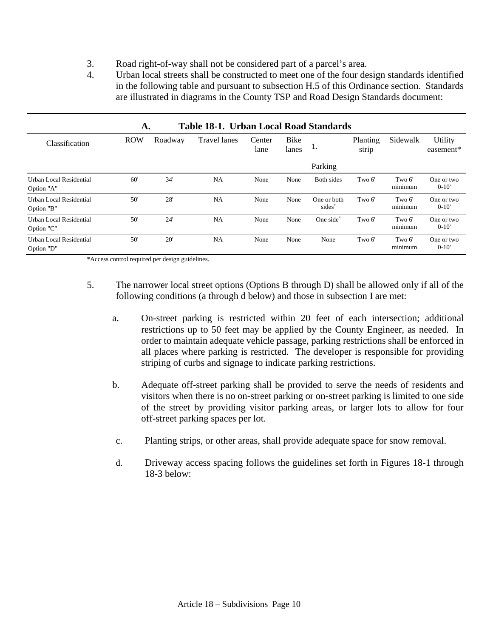- 3. Road right-of-way shall not be considered part of a parcel's area.
- 4. Urban local streets shall be constructed to meet one of the four design standards identified in the following table and pursuant to subsection H.5 of this Ordinance section. Standards are illustrated in diagrams in the County TSP and Road Design Standards document:

| Table 18-1. Urban Local Road Standards<br>A. |                       |     |                     |                |               |                                   |                   |                   |                         |
|----------------------------------------------|-----------------------|-----|---------------------|----------------|---------------|-----------------------------------|-------------------|-------------------|-------------------------|
| Classification                               | <b>ROW</b><br>Roadway |     | <b>Travel lanes</b> | Center<br>lane | Bike<br>lanes | 1.                                | Planting<br>strip | Sidewalk          | Utility<br>easement*    |
|                                              |                       |     |                     |                |               | Parking                           |                   |                   |                         |
| Urban Local Residential<br>Option "A"        | 60'                   | 34' | NA                  | None           | None          | Both sides                        | Two 6'            | Two 6'<br>minimum | One or two<br>$0-10'$   |
| Urban Local Residential<br>Option "B"        | 50'                   | 28' | NA                  | None           | None          | One or both<br>sides <sup>*</sup> | Two 6'            | Two 6'<br>minimum | One or two<br>$0 - 10'$ |
| Urban Local Residential<br>Option "C"        | 50'                   | 24' | NA                  | None           | None          | One side                          | Two 6'            | Two 6'<br>minimum | One or two<br>$0 - 10'$ |
| Urban Local Residential<br>Option "D"        | 50'                   | 20' | NA                  | None           | None          | None                              | Two 6'            | Two 6'<br>minimum | One or two<br>$0-10'$   |

\*Access control required per design guidelines.

- 5. The narrower local street options (Options B through D) shall be allowed only if all of the following conditions (a through d below) and those in subsection I are met:
	- a. On-street parking is restricted within 20 feet of each intersection; additional restrictions up to 50 feet may be applied by the County Engineer, as needed. In order to maintain adequate vehicle passage, parking restrictions shall be enforced in all places where parking is restricted. The developer is responsible for providing striping of curbs and signage to indicate parking restrictions.
	- b. Adequate off-street parking shall be provided to serve the needs of residents and visitors when there is no on-street parking or on-street parking is limited to one side of the street by providing visitor parking areas, or larger lots to allow for four off-street parking spaces per lot.
	- c. Planting strips, or other areas, shall provide adequate space for snow removal.
	- d. Driveway access spacing follows the guidelines set forth in Figures 18-1 through 18-3 below: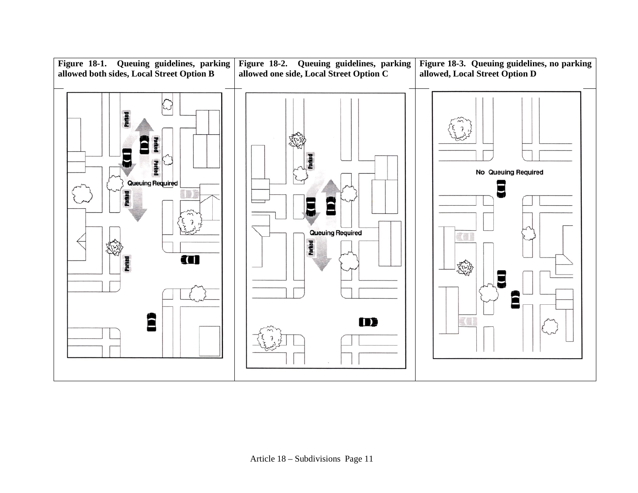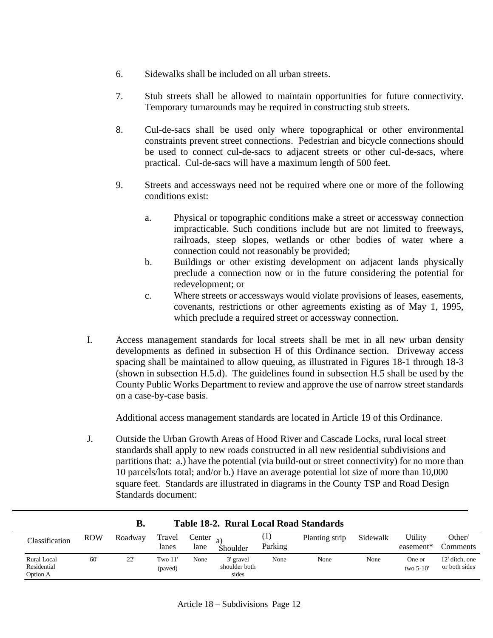- 6. Sidewalks shall be included on all urban streets.
- 7. Stub streets shall be allowed to maintain opportunities for future connectivity. Temporary turnarounds may be required in constructing stub streets.
- 8. Cul-de-sacs shall be used only where topographical or other environmental constraints prevent street connections. Pedestrian and bicycle connections should be used to connect cul-de-sacs to adjacent streets or other cul-de-sacs, where practical. Cul-de-sacs will have a maximum length of 500 feet.
- 9. Streets and accessways need not be required where one or more of the following conditions exist:
	- a. Physical or topographic conditions make a street or accessway connection impracticable. Such conditions include but are not limited to freeways, railroads, steep slopes, wetlands or other bodies of water where a connection could not reasonably be provided;
	- b. Buildings or other existing development on adjacent lands physically preclude a connection now or in the future considering the potential for redevelopment; or
	- c. Where streets or accessways would violate provisions of leases, easements, covenants, restrictions or other agreements existing as of May 1, 1995, which preclude a required street or accessway connection.
- I. Access management standards for local streets shall be met in all new urban density developments as defined in subsection H of this Ordinance section. Driveway access spacing shall be maintained to allow queuing, as illustrated in Figures 18-1 through 18-3 (shown in subsection H.5.d). The guidelines found in subsection H.5 shall be used by the County Public Works Department to review and approve the use of narrow street standards on a case-by-case basis.

Additional access management standards are located in Article 19 of this Ordinance.

J. Outside the Urban Growth Areas of Hood River and Cascade Locks, rural local street standards shall apply to new roads constructed in all new residential subdivisions and partitions that: a.) have the potential (via build-out or street connectivity) for no more than 10 parcels/lots total; and/or b.) Have an average potential lot size of more than 10,000 square feet. Standards are illustrated in diagrams in the County TSP and Road Design Standards document:

| В.<br>Table 18-2. Rural Local Road Standards |            |         |                    |                        |                                     |                             |                |          |                       |                                 |
|----------------------------------------------|------------|---------|--------------------|------------------------|-------------------------------------|-----------------------------|----------------|----------|-----------------------|---------------------------------|
| Classification                               | <b>ROW</b> | Roadway | Travel<br>lanes    | Center $_{a)}$<br>lane | Shoulder                            | $\left(1\right)$<br>Parking | Planting strip | Sidewalk | Utility<br>easement*  | Other/<br>Comments              |
| Rural Local<br>Residential<br>Option A       | 60'        | 22'     | Two 11'<br>(paved) | None                   | 3' gravel<br>shoulder both<br>sides | None                        | None           | None     | One or<br>two $5-10'$ | 12' ditch, one<br>or both sides |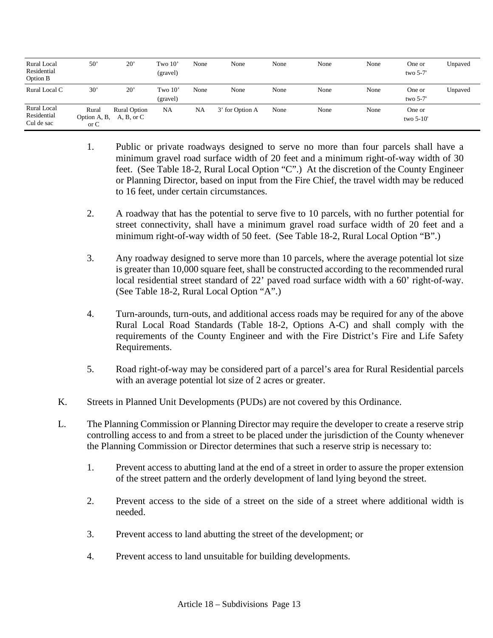| Rural Local<br>Residential<br>Option B   | $50^{\circ}$                        | $20^{\circ}$               | Two $10^{\circ}$<br>(gravel) | None | None            | None | None | None | One or<br>two $5-7'$  | Unpaved |
|------------------------------------------|-------------------------------------|----------------------------|------------------------------|------|-----------------|------|------|------|-----------------------|---------|
| Rural Local C                            | 30'                                 | $20^{\circ}$               | Two $10'$<br>(gravel)        | None | None            | None | None | None | One or<br>two $5-7'$  | Unpaved |
| Rural Local<br>Residential<br>Cul de sac | Rural<br>Option A, B,<br>$\alpha$ C | Rural Option<br>A, B, or C | NA                           | NA   | 3' for Option A | None | None | None | One or<br>two $5-10'$ |         |

- 1. Public or private roadways designed to serve no more than four parcels shall have a minimum gravel road surface width of 20 feet and a minimum right-of-way width of 30 feet. (See Table 18-2, Rural Local Option "C".) At the discretion of the County Engineer or Planning Director, based on input from the Fire Chief, the travel width may be reduced to 16 feet, under certain circumstances.
- 2. A roadway that has the potential to serve five to 10 parcels, with no further potential for street connectivity, shall have a minimum gravel road surface width of 20 feet and a minimum right-of-way width of 50 feet. (See Table 18-2, Rural Local Option "B".)
- 3. Any roadway designed to serve more than 10 parcels, where the average potential lot size is greater than 10,000 square feet, shall be constructed according to the recommended rural local residential street standard of 22' paved road surface width with a 60' right-of-way. (See Table 18-2, Rural Local Option "A".)
- 4. Turn-arounds, turn-outs, and additional access roads may be required for any of the above Rural Local Road Standards (Table 18-2, Options A-C) and shall comply with the requirements of the County Engineer and with the Fire District's Fire and Life Safety Requirements.
- 5. Road right-of-way may be considered part of a parcel's area for Rural Residential parcels with an average potential lot size of 2 acres or greater.
- K. Streets in Planned Unit Developments (PUDs) are not covered by this Ordinance.
- L. The Planning Commission or Planning Director may require the developer to create a reserve strip controlling access to and from a street to be placed under the jurisdiction of the County whenever the Planning Commission or Director determines that such a reserve strip is necessary to:
	- 1. Prevent access to abutting land at the end of a street in order to assure the proper extension of the street pattern and the orderly development of land lying beyond the street.
	- 2. Prevent access to the side of a street on the side of a street where additional width is needed.
	- 3. Prevent access to land abutting the street of the development; or
	- 4. Prevent access to land unsuitable for building developments.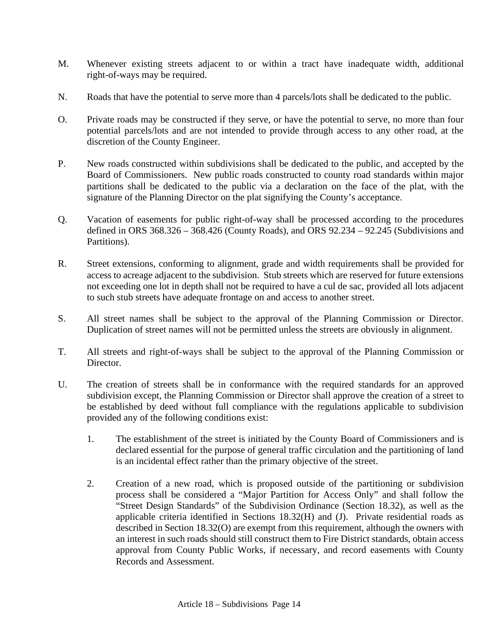- M. Whenever existing streets adjacent to or within a tract have inadequate width, additional right-of-ways may be required.
- N. Roads that have the potential to serve more than 4 parcels/lots shall be dedicated to the public.
- O. Private roads may be constructed if they serve, or have the potential to serve, no more than four potential parcels/lots and are not intended to provide through access to any other road, at the discretion of the County Engineer.
- P. New roads constructed within subdivisions shall be dedicated to the public, and accepted by the Board of Commissioners. New public roads constructed to county road standards within major partitions shall be dedicated to the public via a declaration on the face of the plat, with the signature of the Planning Director on the plat signifying the County's acceptance.
- Q. Vacation of easements for public right-of-way shall be processed according to the procedures defined in ORS 368.326 – 368.426 (County Roads), and ORS 92.234 – 92.245 (Subdivisions and Partitions).
- R. Street extensions, conforming to alignment, grade and width requirements shall be provided for access to acreage adjacent to the subdivision. Stub streets which are reserved for future extensions not exceeding one lot in depth shall not be required to have a cul de sac, provided all lots adjacent to such stub streets have adequate frontage on and access to another street.
- S. All street names shall be subject to the approval of the Planning Commission or Director. Duplication of street names will not be permitted unless the streets are obviously in alignment.
- T. All streets and right-of-ways shall be subject to the approval of the Planning Commission or Director.
- U. The creation of streets shall be in conformance with the required standards for an approved subdivision except, the Planning Commission or Director shall approve the creation of a street to be established by deed without full compliance with the regulations applicable to subdivision provided any of the following conditions exist:
	- 1. The establishment of the street is initiated by the County Board of Commissioners and is declared essential for the purpose of general traffic circulation and the partitioning of land is an incidental effect rather than the primary objective of the street.
	- 2. Creation of a new road, which is proposed outside of the partitioning or subdivision process shall be considered a "Major Partition for Access Only" and shall follow the "Street Design Standards" of the Subdivision Ordinance (Section 18.32), as well as the applicable criteria identified in Sections 18.32(H) and (J). Private residential roads as described in Section 18.32(O) are exempt from this requirement, although the owners with an interest in such roads should still construct them to Fire District standards, obtain access approval from County Public Works, if necessary, and record easements with County Records and Assessment.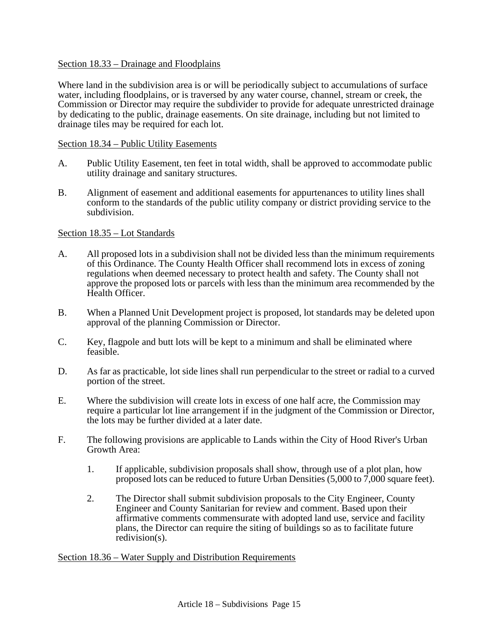## Section 18.33 – Drainage and Floodplains

Where land in the subdivision area is or will be periodically subject to accumulations of surface water, including floodplains, or is traversed by any water course, channel, stream or creek, the Commission or Director may require the subdivider to provide for adequate unrestricted drainage by dedicating to the public, drainage easements. On site drainage, including but not limited to drainage tiles may be required for each lot.

## Section 18.34 – Public Utility Easements

- A. Public Utility Easement, ten feet in total width, shall be approved to accommodate public utility drainage and sanitary structures.
- B. Alignment of easement and additional easements for appurtenances to utility lines shall conform to the standards of the public utility company or district providing service to the subdivision.

## Section 18.35 – Lot Standards

- A. All proposed lots in a subdivision shall not be divided less than the minimum requirements of this Ordinance. The County Health Officer shall recommend lots in excess of zoning regulations when deemed necessary to protect health and safety. The County shall not approve the proposed lots or parcels with less than the minimum area recommended by the Health Officer.
- B. When a Planned Unit Development project is proposed, lot standards may be deleted upon approval of the planning Commission or Director.
- C. Key, flagpole and butt lots will be kept to a minimum and shall be eliminated where feasible.
- D. As far as practicable, lot side lines shall run perpendicular to the street or radial to a curved portion of the street.
- E. Where the subdivision will create lots in excess of one half acre, the Commission may require a particular lot line arrangement if in the judgment of the Commission or Director, the lots may be further divided at a later date.
- F. The following provisions are applicable to Lands within the City of Hood River's Urban Growth Area:
	- 1. If applicable, subdivision proposals shall show, through use of a plot plan, how proposed lots can be reduced to future Urban Densities (5,000 to 7,000 square feet).
	- 2. The Director shall submit subdivision proposals to the City Engineer, County Engineer and County Sanitarian for review and comment. Based upon their affirmative comments commensurate with adopted land use, service and facility plans, the Director can require the siting of buildings so as to facilitate future redivision(s).

Section 18.36 – Water Supply and Distribution Requirements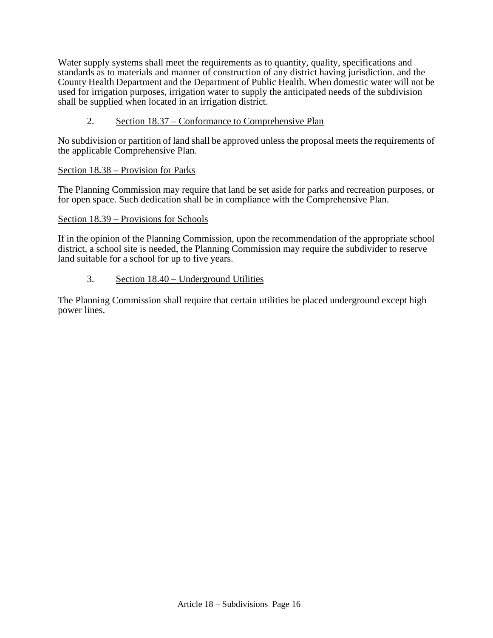Water supply systems shall meet the requirements as to quantity, quality, specifications and standards as to materials and manner of construction of any district having jurisdiction. and the County Health Department and the Department of Public Health. When domestic water will not be used for irrigation purposes, irrigation water to supply the anticipated needs of the subdivision shall be supplied when located in an irrigation district.

## 2. Section 18.37 – Conformance to Comprehensive Plan

No subdivision or partition of land shall be approved unless the proposal meets the requirements of the applicable Comprehensive Plan.

## Section 18.38 – Provision for Parks

The Planning Commission may require that land be set aside for parks and recreation purposes, or for open space. Such dedication shall be in compliance with the Comprehensive Plan.

## Section 18.39 – Provisions for Schools

If in the opinion of the Planning Commission, upon the recommendation of the appropriate school district, a school site is needed, the Planning Commission may require the subdivider to reserve land suitable for a school for up to five years.

## 3. Section 18.40 – Underground Utilities

The Planning Commission shall require that certain utilities be placed underground except high power lines.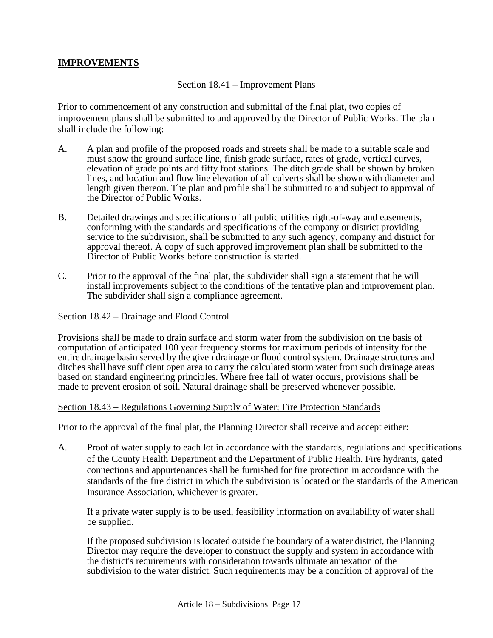## **IMPROVEMENTS**

Section 18.41 – Improvement Plans

Prior to commencement of any construction and submittal of the final plat, two copies of improvement plans shall be submitted to and approved by the Director of Public Works. The plan shall include the following:

- A. A plan and profile of the proposed roads and streets shall be made to a suitable scale and must show the ground surface line, finish grade surface, rates of grade, vertical curves, elevation of grade points and fifty foot stations. The ditch grade shall be shown by broken lines, and location and flow line elevation of all culverts shall be shown with diameter and length given thereon. The plan and profile shall be submitted to and subject to approval of the Director of Public Works.
- B. Detailed drawings and specifications of all public utilities right-of-way and easements, conforming with the standards and specifications of the company or district providing service to the subdivision, shall be submitted to any such agency, company and district for approval thereof. A copy of such approved improvement plan shall be submitted to the Director of Public Works before construction is started.
- C. Prior to the approval of the final plat, the subdivider shall sign a statement that he will install improvements subject to the conditions of the tentative plan and improvement plan. The subdivider shall sign a compliance agreement.

#### Section 18.42 – Drainage and Flood Control

Provisions shall be made to drain surface and storm water from the subdivision on the basis of computation of anticipated 100 year frequency storms for maximum periods of intensity for the entire drainage basin served by the given drainage or flood control system. Drainage structures and ditches shall have sufficient open area to carry the calculated storm water from such drainage areas based on standard engineering principles. Where free fall of water occurs, provisions shall be made to prevent erosion of soil. Natural drainage shall be preserved whenever possible.

#### Section 18.43 – Regulations Governing Supply of Water; Fire Protection Standards

Prior to the approval of the final plat, the Planning Director shall receive and accept either:

A. Proof of water supply to each lot in accordance with the standards, regulations and specifications of the County Health Department and the Department of Public Health. Fire hydrants, gated connections and appurtenances shall be furnished for fire protection in accordance with the standards of the fire district in which the subdivision is located or the standards of the American Insurance Association, whichever is greater.

If a private water supply is to be used, feasibility information on availability of water shall be supplied.

If the proposed subdivision is located outside the boundary of a water district, the Planning Director may require the developer to construct the supply and system in accordance with the district's requirements with consideration towards ultimate annexation of the subdivision to the water district. Such requirements may be a condition of approval of the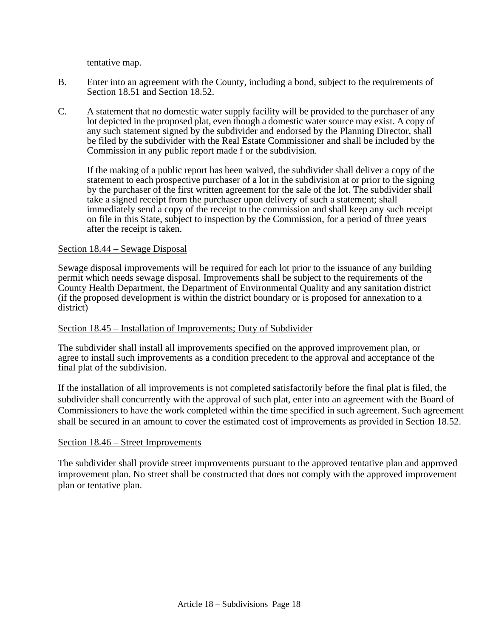tentative map.

- B. Enter into an agreement with the County, including a bond, subject to the requirements of Section 18.51 and Section 18.52.
- C. A statement that no domestic water supply facility will be provided to the purchaser of any lot depicted in the proposed plat, even though a domestic water source may exist. A copy of any such statement signed by the subdivider and endorsed by the Planning Director, shall be filed by the subdivider with the Real Estate Commissioner and shall be included by the Commission in any public report made f or the subdivision.

If the making of a public report has been waived, the subdivider shall deliver a copy of the statement to each prospective purchaser of a lot in the subdivision at or prior to the signing by the purchaser of the first written agreement for the sale of the lot. The subdivider shall take a signed receipt from the purchaser upon delivery of such a statement; shall immediately send a copy of the receipt to the commission and shall keep any such receipt on file in this State, subject to inspection by the Commission, for a period of three years after the receipt is taken.

#### Section 18.44 – Sewage Disposal

Sewage disposal improvements will be required for each lot prior to the issuance of any building permit which needs sewage disposal. Improvements shall be subject to the requirements of the County Health Department, the Department of Environmental Quality and any sanitation district (if the proposed development is within the district boundary or is proposed for annexation to a district)

## Section 18.45 – Installation of Improvements; Duty of Subdivider

The subdivider shall install all improvements specified on the approved improvement plan, or agree to install such improvements as a condition precedent to the approval and acceptance of the final plat of the subdivision.

If the installation of all improvements is not completed satisfactorily before the final plat is filed, the subdivider shall concurrently with the approval of such plat, enter into an agreement with the Board of Commissioners to have the work completed within the time specified in such agreement. Such agreement shall be secured in an amount to cover the estimated cost of improvements as provided in Section 18.52.

## Section 18.46 – Street Improvements

The subdivider shall provide street improvements pursuant to the approved tentative plan and approved improvement plan. No street shall be constructed that does not comply with the approved improvement plan or tentative plan.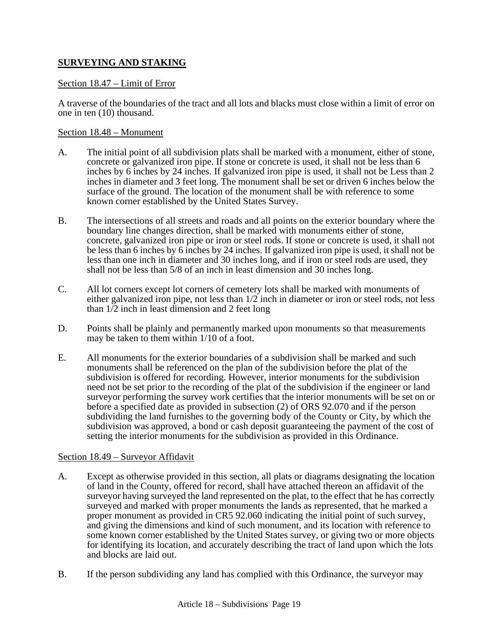# **SURVEYING AND STAKING**

## Section 18.47 – Limit of Error

A traverse of the boundaries of the tract and all lots and blacks must close within a limit of error on one in ten (10) thousand.

## Section 18.48 – Monument

- A. The initial point of all subdivision plats shall be marked with a monument, either of stone, concrete or galvanized iron pipe. If stone or concrete is used, it shall not be less than 6 inches by 6 inches by 24 inches. If galvanized iron pipe is used, it shall not be Less than 2 inches in diameter and 3 feet long. The monument shall be set or driven 6 inches below the surface of the ground. The location of the monument shall be with reference to some known corner established by the United States Survey.
- B. The intersections of all streets and roads and all points on the exterior boundary where the boundary line changes direction, shall be marked with monuments either of stone, concrete, galvanized iron pipe or iron or steel rods. If stone or concrete is used, it shall not be less than 6 inches by 6 inches by 24 inches. If galvanized iron pipe is used, it shall not be less than one inch in diameter and 30 inches long, and if iron or steel rods are used, they shall not be less than 5/8 of an inch in least dimension and 30 inches long.
- C. All lot corners except lot corners of cemetery lots shall be marked with monuments of either galvanized iron pipe, not less than 1/2 inch in diameter or iron or steel rods, not less than  $1/2$  inch in least dimension and 2 feet long
- D. Points shall be plainly and permanently marked upon monuments so that measurements may be taken to them within 1/10 of a foot.
- E. All monuments for the exterior boundaries of a subdivision shall be marked and such monuments shall be referenced on the plan of the subdivision before the plat of the subdivision is offered for recording. However, interior monuments for the subdivision need not be set prior to the recording of the plat of the subdivision if the engineer or land surveyor performing the survey work certifies that the interior monuments will be set on or before a specified date as provided in subsection (2) of ORS 92.070 and if the person subdividing the land furnishes to the governing body of the County or City, by which the subdivision was approved, a bond or cash deposit guaranteeing the payment of the cost of setting the interior monuments for the subdivision as provided in this Ordinance.

## Section 18.49 – Surveyor Affidavit

- A. Except as otherwise provided in this section, all plats or diagrams designating the location of land in the County, offered for record, shall have attached thereon an affidavit of the surveyor having surveyed the land represented on the plat, to the effect that he has correctly surveyed and marked with proper monuments the lands as represented, that he marked a proper monument as provided in CR5 92.060 indicating the initial point of such survey, and giving the dimensions and kind of such monument, and its location with reference to some known corner established by the United States survey, or giving two or more objects for identifying its location, and accurately describing the tract of land upon which the lots and blocks are laid out.
- B. If the person subdividing any land has complied with this Ordinance, the surveyor may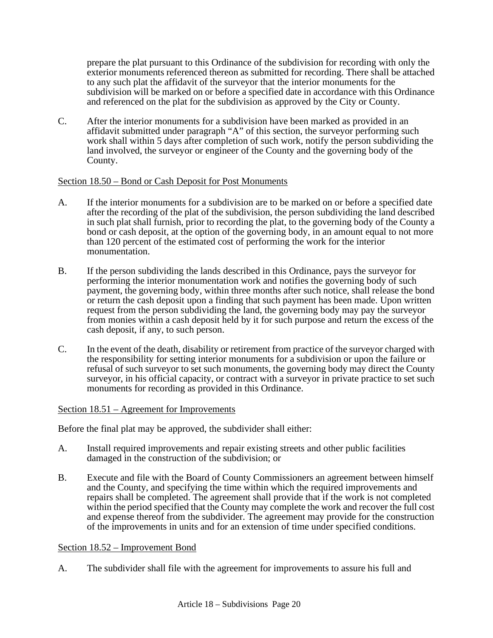prepare the plat pursuant to this Ordinance of the subdivision for recording with only the exterior monuments referenced thereon as submitted for recording. There shall be attached to any such plat the affidavit of the surveyor that the interior monuments for the subdivision will be marked on or before a specified date in accordance with this Ordinance and referenced on the plat for the subdivision as approved by the City or County.

C. After the interior monuments for a subdivision have been marked as provided in an affidavit submitted under paragraph "A" of this section, the surveyor performing such work shall within 5 days after completion of such work, notify the person subdividing the land involved, the surveyor or engineer of the County and the governing body of the County.

## Section 18.50 – Bond or Cash Deposit for Post Monuments

- A. If the interior monuments for a subdivision are to be marked on or before a specified date after the recording of the plat of the subdivision, the person subdividing the land described in such plat shall furnish, prior to recording the plat, to the governing body of the County a bond or cash deposit, at the option of the governing body, in an amount equal to not more than 120 percent of the estimated cost of performing the work for the interior monumentation.
- B. If the person subdividing the lands described in this Ordinance, pays the surveyor for performing the interior monumentation work and notifies the governing body of such payment, the governing body, within three months after such notice, shall release the bond or return the cash deposit upon a finding that such payment has been made. Upon written request from the person subdividing the land, the governing body may pay the surveyor from monies within a cash deposit held by it for such purpose and return the excess of the cash deposit, if any, to such person.
- C. In the event of the death, disability or retirement from practice of the surveyor charged with the responsibility for setting interior monuments for a subdivision or upon the failure or refusal of such surveyor to set such monuments, the governing body may direct the County surveyor, in his official capacity, or contract with a surveyor in private practice to set such monuments for recording as provided in this Ordinance.

## Section 18.51 – Agreement for Improvements

Before the final plat may be approved, the subdivider shall either:

- A. Install required improvements and repair existing streets and other public facilities damaged in the construction of the subdivision; or
- B. Execute and file with the Board of County Commissioners an agreement between himself and the County, and specifying the time within which the required improvements and repairs shall be completed. The agreement shall provide that if the work is not completed within the period specified that the County may complete the work and recover the full cost and expense thereof from the subdivider. The agreement may provide for the construction of the improvements in units and for an extension of time under specified conditions.

## Section 18.52 – Improvement Bond

A. The subdivider shall file with the agreement for improvements to assure his full and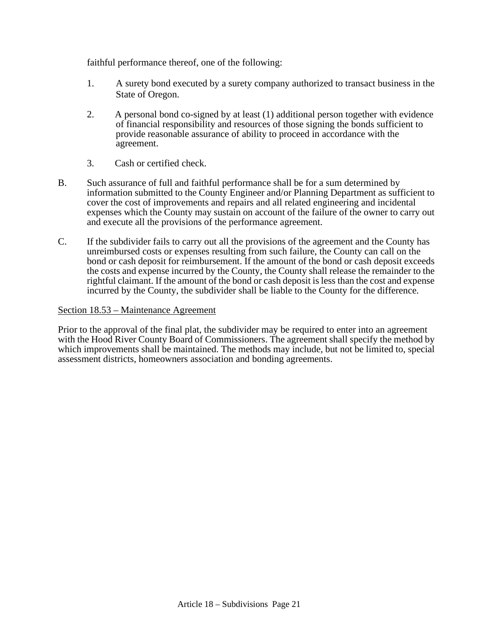faithful performance thereof, one of the following:

- 1. A surety bond executed by a surety company authorized to transact business in the State of Oregon.
- 2. A personal bond co-signed by at least (1) additional person together with evidence of financial responsibility and resources of those signing the bonds sufficient to provide reasonable assurance of ability to proceed in accordance with the agreement.
- 3. Cash or certified check.
- B. Such assurance of full and faithful performance shall be for a sum determined by information submitted to the County Engineer and/or Planning Department as sufficient to cover the cost of improvements and repairs and all related engineering and incidental expenses which the County may sustain on account of the failure of the owner to carry out and execute all the provisions of the performance agreement.
- C. If the subdivider fails to carry out all the provisions of the agreement and the County has unreimbursed costs or expenses resulting from such failure, the County can call on the bond or cash deposit for reimbursement. If the amount of the bond or cash deposit exceeds the costs and expense incurred by the County, the County shall release the remainder to the rightful claimant. If the amount of the bond or cash deposit is less than the cost and expense incurred by the County, the subdivider shall be liable to the County for the difference.

## Section 18.53 – Maintenance Agreement

Prior to the approval of the final plat, the subdivider may be required to enter into an agreement with the Hood River County Board of Commissioners. The agreement shall specify the method by which improvements shall be maintained. The methods may include, but not be limited to, special assessment districts, homeowners association and bonding agreements.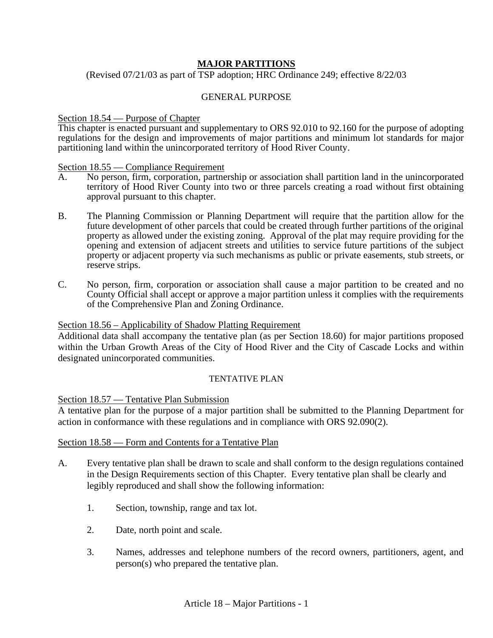## **MAJOR PARTITIONS**

(Revised 07/21/03 as part of TSP adoption; HRC Ordinance 249; effective 8/22/03

#### GENERAL PURPOSE

# Section 18.54 — Purpose of Chapter

This chapter is enacted pursuant and supplementary to ORS 92.010 to 92.160 for the purpose of adopting regulations for the design and improvements of major partitions and minimum lot standards for major partitioning land within the unincorporated territory of Hood River County.

#### Section 18.55 — Compliance Requirement

- A. No person, firm, corporation, partnership or association shall partition land in the unincorporated territory of Hood River County into two or three parcels creating a road without first obtaining approval pursuant to this chapter.
- B. The Planning Commission or Planning Department will require that the partition allow for the future development of other parcels that could be created through further partitions of the original property as allowed under the existing zoning. Approval of the plat may require providing for the opening and extension of adjacent streets and utilities to service future partitions of the subject property or adjacent property via such mechanisms as public or private easements, stub streets, or reserve strips.
- C. No person, firm, corporation or association shall cause a major partition to be created and no County Official shall accept or approve a major partition unless it complies with the requirements of the Comprehensive Plan and Zoning Ordinance.

#### Section 18.56 – Applicability of Shadow Platting Requirement

Additional data shall accompany the tentative plan (as per Section 18.60) for major partitions proposed within the Urban Growth Areas of the City of Hood River and the City of Cascade Locks and within designated unincorporated communities.

#### TENTATIVE PLAN

#### Section 18.57 — Tentative Plan Submission

A tentative plan for the purpose of a major partition shall be submitted to the Planning Department for action in conformance with these regulations and in compliance with ORS 92.090(2).

#### Section 18.58 — Form and Contents for a Tentative Plan

- A. Every tentative plan shall be drawn to scale and shall conform to the design regulations contained in the Design Requirements section of this Chapter. Every tentative plan shall be clearly and legibly reproduced and shall show the following information:
	- 1. Section, township, range and tax lot.
	- 2. Date, north point and scale.
	- 3. Names, addresses and telephone numbers of the record owners, partitioners, agent, and person(s) who prepared the tentative plan.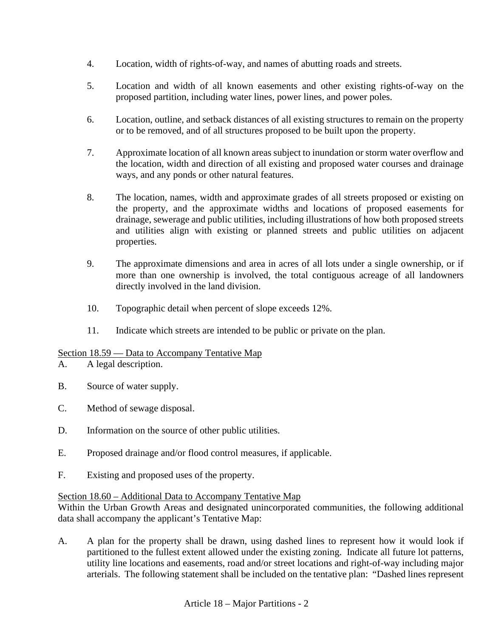- 4. Location, width of rights-of-way, and names of abutting roads and streets.
- 5. Location and width of all known easements and other existing rights-of-way on the proposed partition, including water lines, power lines, and power poles.
- 6. Location, outline, and setback distances of all existing structures to remain on the property or to be removed, and of all structures proposed to be built upon the property.
- 7. Approximate location of all known areas subject to inundation or storm water overflow and the location, width and direction of all existing and proposed water courses and drainage ways, and any ponds or other natural features.
- 8. The location, names, width and approximate grades of all streets proposed or existing on the property, and the approximate widths and locations of proposed easements for drainage, sewerage and public utilities, including illustrations of how both proposed streets and utilities align with existing or planned streets and public utilities on adjacent properties.
- 9. The approximate dimensions and area in acres of all lots under a single ownership, or if more than one ownership is involved, the total contiguous acreage of all landowners directly involved in the land division.
- 10. Topographic detail when percent of slope exceeds 12%.
- 11. Indicate which streets are intended to be public or private on the plan.

## Section 18.59 — Data to Accompany Tentative Map

- A. A legal description.
- B. Source of water supply.
- C. Method of sewage disposal.
- D. Information on the source of other public utilities.
- E. Proposed drainage and/or flood control measures, if applicable.
- F. Existing and proposed uses of the property.

## Section 18.60 – Additional Data to Accompany Tentative Map

Within the Urban Growth Areas and designated unincorporated communities, the following additional data shall accompany the applicant's Tentative Map:

A. A plan for the property shall be drawn, using dashed lines to represent how it would look if partitioned to the fullest extent allowed under the existing zoning. Indicate all future lot patterns, utility line locations and easements, road and/or street locations and right-of-way including major arterials. The following statement shall be included on the tentative plan: "Dashed lines represent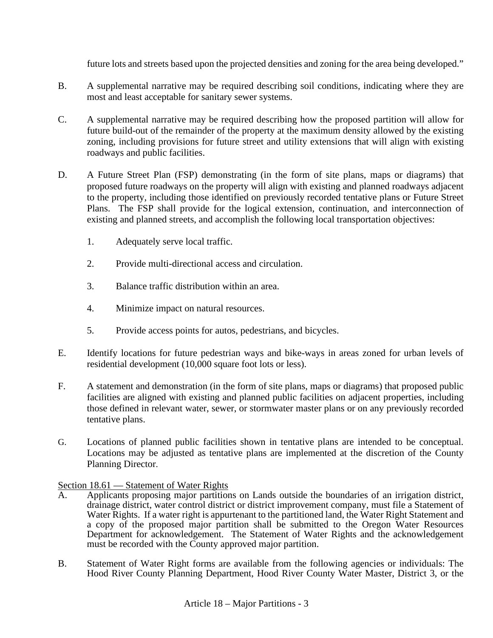future lots and streets based upon the projected densities and zoning for the area being developed."

- B. A supplemental narrative may be required describing soil conditions, indicating where they are most and least acceptable for sanitary sewer systems.
- C. A supplemental narrative may be required describing how the proposed partition will allow for future build-out of the remainder of the property at the maximum density allowed by the existing zoning, including provisions for future street and utility extensions that will align with existing roadways and public facilities.
- D. A Future Street Plan (FSP) demonstrating (in the form of site plans, maps or diagrams) that proposed future roadways on the property will align with existing and planned roadways adjacent to the property, including those identified on previously recorded tentative plans or Future Street Plans. The FSP shall provide for the logical extension, continuation, and interconnection of existing and planned streets, and accomplish the following local transportation objectives:
	- 1. Adequately serve local traffic.
	- 2. Provide multi-directional access and circulation.
	- 3. Balance traffic distribution within an area.
	- 4. Minimize impact on natural resources.
	- 5. Provide access points for autos, pedestrians, and bicycles.
- E. Identify locations for future pedestrian ways and bike-ways in areas zoned for urban levels of residential development (10,000 square foot lots or less).
- F. A statement and demonstration (in the form of site plans, maps or diagrams) that proposed public facilities are aligned with existing and planned public facilities on adjacent properties, including those defined in relevant water, sewer, or stormwater master plans or on any previously recorded tentative plans.
- G. Locations of planned public facilities shown in tentative plans are intended to be conceptual. Locations may be adjusted as tentative plans are implemented at the discretion of the County Planning Director.

## Section 18.61 — Statement of Water Rights

- A. Applicants proposing major partitions on Lands outside the boundaries of an irrigation district, drainage district, water control district or district improvement company, must file a Statement of Water Rights. If a water right is appurtenant to the partitioned land, the Water Right Statement and a copy of the proposed major partition shall be submitted to the Oregon Water Resources Department for acknowledgement. The Statement of Water Rights and the acknowledgement must be recorded with the County approved major partition.
- B. Statement of Water Right forms are available from the following agencies or individuals: The Hood River County Planning Department, Hood River County Water Master, District 3, or the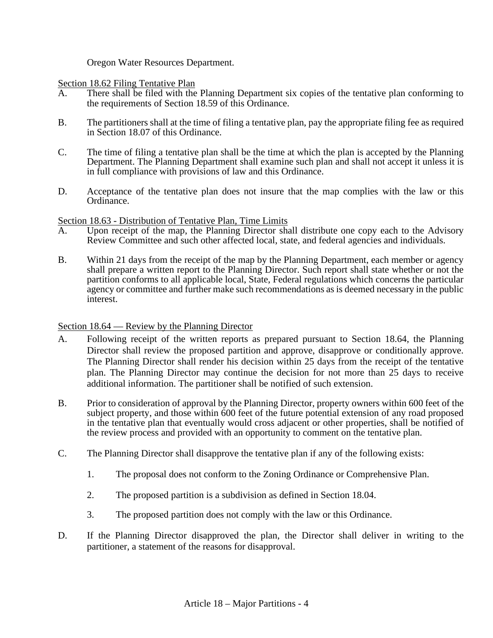Oregon Water Resources Department.

Section 18.62 Filing Tentative Plan

- A. There shall be filed with the Planning Department six copies of the tentative plan conforming to the requirements of Section 18.59 of this Ordinance.
- B. The partitioners shall at the time of filing a tentative plan, pay the appropriate filing fee as required in Section 18.07 of this Ordinance.
- C. The time of filing a tentative plan shall be the time at which the plan is accepted by the Planning Department. The Planning Department shall examine such plan and shall not accept it unless it is in full compliance with provisions of law and this Ordinance.
- D. Acceptance of the tentative plan does not insure that the map complies with the law or this Ordinance.

## Section 18.63 - Distribution of Tentative Plan, Time Limits

- A. Upon receipt of the map, the Planning Director shall distribute one copy each to the Advisory Review Committee and such other affected local, state, and federal agencies and individuals.
- B. Within 21 days from the receipt of the map by the Planning Department, each member or agency shall prepare a written report to the Planning Director. Such report shall state whether or not the partition conforms to all applicable local, State, Federal regulations which concerns the particular agency or committee and further make such recommendations as is deemed necessary in the public interest.

## Section 18.64 — Review by the Planning Director

- A. Following receipt of the written reports as prepared pursuant to Section 18.64, the Planning Director shall review the proposed partition and approve, disapprove or conditionally approve. The Planning Director shall render his decision within 25 days from the receipt of the tentative plan. The Planning Director may continue the decision for not more than 25 days to receive additional information. The partitioner shall be notified of such extension.
- B. Prior to consideration of approval by the Planning Director, property owners within 600 feet of the subject property, and those within 600 feet of the future potential extension of any road proposed in the tentative plan that eventually would cross adjacent or other properties, shall be notified of the review process and provided with an opportunity to comment on the tentative plan.
- C. The Planning Director shall disapprove the tentative plan if any of the following exists:
	- 1. The proposal does not conform to the Zoning Ordinance or Comprehensive Plan.
	- 2. The proposed partition is a subdivision as defined in Section 18.04.
	- 3. The proposed partition does not comply with the law or this Ordinance.
- D. If the Planning Director disapproved the plan, the Director shall deliver in writing to the partitioner, a statement of the reasons for disapproval.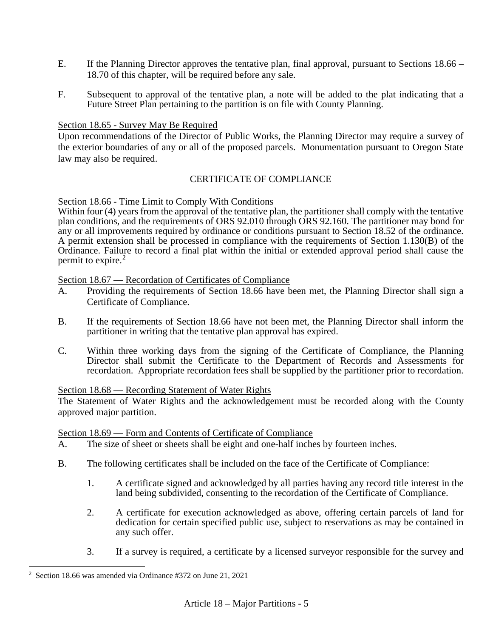- E. If the Planning Director approves the tentative plan, final approval, pursuant to Sections 18.66 18.70 of this chapter, will be required before any sale.
- F. Subsequent to approval of the tentative plan, a note will be added to the plat indicating that a Future Street Plan pertaining to the partition is on file with County Planning.

## Section 18.65 - Survey May Be Required

Upon recommendations of the Director of Public Works, the Planning Director may require a survey of the exterior boundaries of any or all of the proposed parcels. Monumentation pursuant to Oregon State law may also be required.

## CERTIFICATE OF COMPLIANCE

#### Section 18.66 - Time Limit to Comply With Conditions

Within four (4) years from the approval of the tentative plan, the partitioner shall comply with the tentative plan conditions, and the requirements of ORS 92.010 through ORS 92.160. The partitioner may bond for any or all improvements required by ordinance or conditions pursuant to Section 18.52 of the ordinance. A permit extension shall be processed in compliance with the requirements of Section 1.130(B) of the Ordinance. Failure to record a final plat within the initial or extended approval period shall cause the permit to expire.<sup>[2](#page-43-0)</sup>

Section 18.67 — Recordation of Certificates of Compliance

- A. Providing the requirements of Section 18.66 have been met, the Planning Director shall sign a Certificate of Compliance.
- B. If the requirements of Section 18.66 have not been met, the Planning Director shall inform the partitioner in writing that the tentative plan approval has expired.
- C. Within three working days from the signing of the Certificate of Compliance, the Planning Director shall submit the Certificate to the Department of Records and Assessments for recordation. Appropriate recordation fees shall be supplied by the partitioner prior to recordation.

#### Section 18.68 — Recording Statement of Water Rights

The Statement of Water Rights and the acknowledgement must be recorded along with the County approved major partition.

Section 18.69 — Form and Contents of Certificate of Compliance

- A. The size of sheet or sheets shall be eight and one-half inches by fourteen inches.
- B. The following certificates shall be included on the face of the Certificate of Compliance:
	- 1. A certificate signed and acknowledged by all parties having any record title interest in the land being subdivided, consenting to the recordation of the Certificate of Compliance.
	- 2. A certificate for execution acknowledged as above, offering certain parcels of land for dedication for certain specified public use, subject to reservations as may be contained in any such offer.
	- 3. If a survey is required, a certificate by a licensed surveyor responsible for the survey and

<span id="page-43-0"></span><sup>2</sup> Section 18.66 was amended via Ordinance #372 on June 21, 2021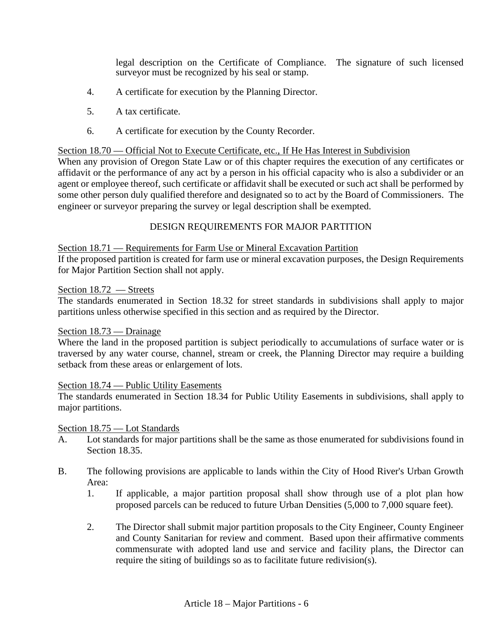legal description on the Certificate of Compliance. The signature of such licensed surveyor must be recognized by his seal or stamp.

- 4. A certificate for execution by the Planning Director.
- 5. A tax certificate.
- 6. A certificate for execution by the County Recorder.

#### Section 18.70 — Official Not to Execute Certificate, etc., If He Has Interest in Subdivision

When any provision of Oregon State Law or of this chapter requires the execution of any certificates or affidavit or the performance of any act by a person in his official capacity who is also a subdivider or an agent or employee thereof, such certificate or affidavit shall be executed or such act shall be performed by some other person duly qualified therefore and designated so to act by the Board of Commissioners. The engineer or surveyor preparing the survey or legal description shall be exempted.

## DESIGN REQUIREMENTS FOR MAJOR PARTITION

#### Section 18.71 — Requirements for Farm Use or Mineral Excavation Partition

If the proposed partition is created for farm use or mineral excavation purposes, the Design Requirements for Major Partition Section shall not apply.

#### Section 18.72 — Streets

The standards enumerated in Section 18.32 for street standards in subdivisions shall apply to major partitions unless otherwise specified in this section and as required by the Director.

## Section 18.73 — Drainage

Where the land in the proposed partition is subject periodically to accumulations of surface water or is traversed by any water course, channel, stream or creek, the Planning Director may require a building setback from these areas or enlargement of lots.

## Section 18.74 — Public Utility Easements

The standards enumerated in Section 18.34 for Public Utility Easements in subdivisions, shall apply to major partitions.

## Section 18.75 — Lot Standards

- A. Lot standards for major partitions shall be the same as those enumerated for subdivisions found in Section 18.35.
- B. The following provisions are applicable to lands within the City of Hood River's Urban Growth Area:
	- 1. If applicable, a major partition proposal shall show through use of a plot plan how proposed parcels can be reduced to future Urban Densities (5,000 to 7,000 square feet).
	- 2. The Director shall submit major partition proposals to the City Engineer, County Engineer and County Sanitarian for review and comment. Based upon their affirmative comments commensurate with adopted land use and service and facility plans, the Director can require the siting of buildings so as to facilitate future redivision(s).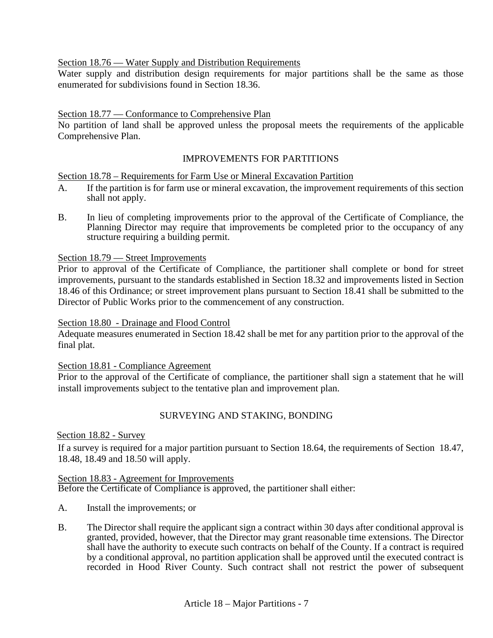Section 18.76 — Water Supply and Distribution Requirements

Water supply and distribution design requirements for major partitions shall be the same as those enumerated for subdivisions found in Section 18.36.

## Section 18.77 — Conformance to Comprehensive Plan

No partition of land shall be approved unless the proposal meets the requirements of the applicable Comprehensive Plan.

## IMPROVEMENTS FOR PARTITIONS

## Section 18.78 – Requirements for Farm Use or Mineral Excavation Partition

- A. If the partition is for farm use or mineral excavation, the improvement requirements of this section shall not apply.
- B. In lieu of completing improvements prior to the approval of the Certificate of Compliance, the Planning Director may require that improvements be completed prior to the occupancy of any structure requiring a building permit.

#### Section 18.79 — Street Improvements

Prior to approval of the Certificate of Compliance, the partitioner shall complete or bond for street improvements, pursuant to the standards established in Section 18.32 and improvements listed in Section 18.46 of this Ordinance; or street improvement plans pursuant to Section 18.41 shall be submitted to the Director of Public Works prior to the commencement of any construction.

## Section 18.80 - Drainage and Flood Control

Adequate measures enumerated in Section 18.42 shall be met for any partition prior to the approval of the final plat.

#### Section 18.81 - Compliance Agreement

Prior to the approval of the Certificate of compliance, the partitioner shall sign a statement that he will install improvements subject to the tentative plan and improvement plan.

## SURVEYING AND STAKING, BONDING

Section 18.82 - Survey

If a survey is required for a major partition pursuant to Section 18.64, the requirements of Section 18.47, 18.48, 18.49 and 18.50 will apply.

#### Section 18.83 - Agreement for Improvements

Before the Certificate of Compliance is approved, the partitioner shall either:

- A. Install the improvements; or
- B. The Director shall require the applicant sign a contract within 30 days after conditional approval is granted, provided, however, that the Director may grant reasonable time extensions. The Director shall have the authority to execute such contracts on behalf of the County. If a contract is required by a conditional approval, no partition application shall be approved until the executed contract is recorded in Hood River County. Such contract shall not restrict the power of subsequent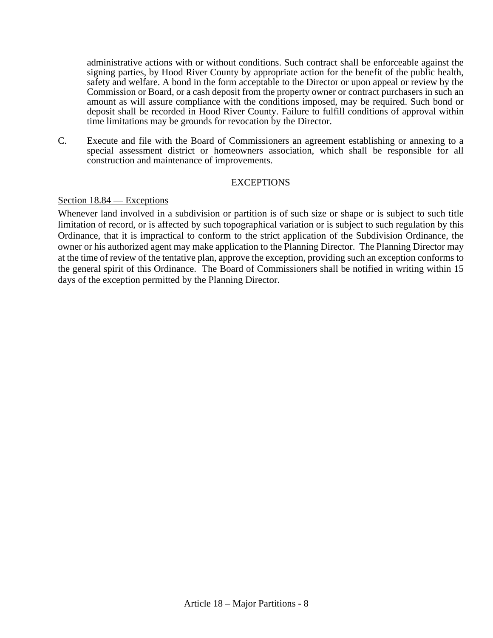administrative actions with or without conditions. Such contract shall be enforceable against the signing parties, by Hood River County by appropriate action for the benefit of the public health, safety and welfare. A bond in the form acceptable to the Director or upon appeal or review by the Commission or Board, or a cash deposit from the property owner or contract purchasers in such an amount as will assure compliance with the conditions imposed, may be required. Such bond or deposit shall be recorded in Hood River County. Failure to fulfill conditions of approval within time limitations may be grounds for revocation by the Director.

C. Execute and file with the Board of Commissioners an agreement establishing or annexing to a special assessment district or homeowners association, which shall be responsible for all construction and maintenance of improvements.

## **EXCEPTIONS**

#### Section 18.84 — Exceptions

Whenever land involved in a subdivision or partition is of such size or shape or is subject to such title limitation of record, or is affected by such topographical variation or is subject to such regulation by this Ordinance, that it is impractical to conform to the strict application of the Subdivision Ordinance, the owner or his authorized agent may make application to the Planning Director. The Planning Director may at the time of review of the tentative plan, approve the exception, providing such an exception conforms to the general spirit of this Ordinance. The Board of Commissioners shall be notified in writing within 15 days of the exception permitted by the Planning Director.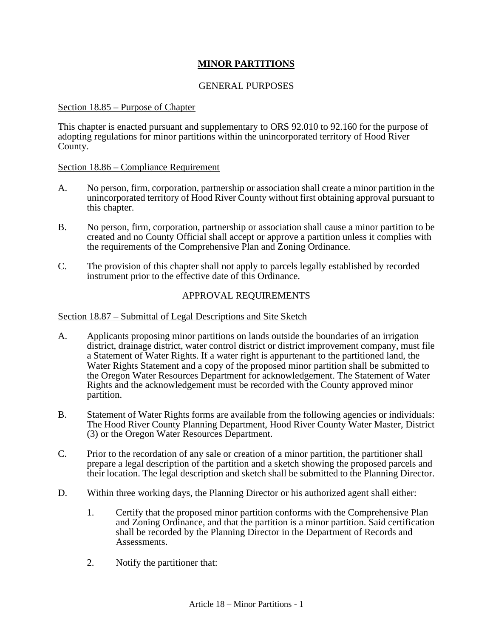## **MINOR PARTITIONS**

## GENERAL PURPOSES

#### Section 18.85 – Purpose of Chapter

This chapter is enacted pursuant and supplementary to ORS 92.010 to 92.160 for the purpose of adopting regulations for minor partitions within the unincorporated territory of Hood River County.

#### Section 18.86 – Compliance Requirement

- A. No person, firm, corporation, partnership or association shall create a minor partition in the unincorporated territory of Hood River County without first obtaining approval pursuant to this chapter.
- B. No person, firm, corporation, partnership or association shall cause a minor partition to be created and no County Official shall accept or approve a partition unless it complies with the requirements of the Comprehensive Plan and Zoning Ordinance.
- C. The provision of this chapter shall not apply to parcels legally established by recorded instrument prior to the effective date of this Ordinance.

#### APPROVAL REQUIREMENTS

#### Section 18.87 – Submittal of Legal Descriptions and Site Sketch

- A. Applicants proposing minor partitions on lands outside the boundaries of an irrigation district, drainage district, water control district or district improvement company, must file a Statement of Water Rights. If a water right is appurtenant to the partitioned land, the Water Rights Statement and a copy of the proposed minor partition shall be submitted to the Oregon Water Resources Department for acknowledgement. The Statement of Water Rights and the acknowledgement must be recorded with the County approved minor partition.
- B. Statement of Water Rights forms are available from the following agencies or individuals: The Hood River County Planning Department, Hood River County Water Master, District (3) or the Oregon Water Resources Department.
- C. Prior to the recordation of any sale or creation of a minor partition, the partitioner shall prepare a legal description of the partition and a sketch showing the proposed parcels and their location. The legal description and sketch shall be submitted to the Planning Director.
- D. Within three working days, the Planning Director or his authorized agent shall either:
	- 1. Certify that the proposed minor partition conforms with the Comprehensive Plan and Zoning Ordinance, and that the partition is a minor partition. Said certification shall be recorded by the Planning Director in the Department of Records and Assessments.
	- 2. Notify the partitioner that: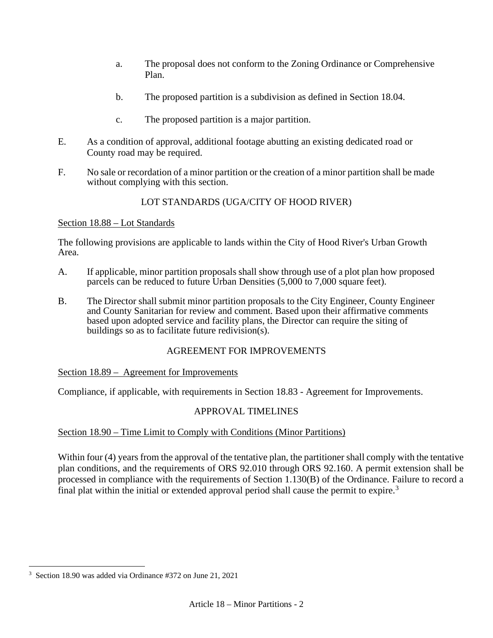- a. The proposal does not conform to the Zoning Ordinance or Comprehensive Plan.
- b. The proposed partition is a subdivision as defined in Section 18.04.
- c. The proposed partition is a major partition.
- E. As a condition of approval, additional footage abutting an existing dedicated road or County road may be required.
- F. No sale or recordation of a minor partition or the creation of a minor partition shall be made without complying with this section.

# LOT STANDARDS (UGA/CITY OF HOOD RIVER)

## Section 18.88 – Lot Standards

The following provisions are applicable to lands within the City of Hood River's Urban Growth Area.

- A. If applicable, minor partition proposals shall show through use of a plot plan how proposed parcels can be reduced to future Urban Densities (5,000 to 7,000 square feet).
- B. The Director shall submit minor partition proposals to the City Engineer, County Engineer and County Sanitarian for review and comment. Based upon their affirmative comments based upon adopted service and facility plans, the Director can require the siting of buildings so as to facilitate future redivision(s).

## AGREEMENT FOR IMPROVEMENTS

## Section 18.89 – Agreement for Improvements

Compliance, if applicable, with requirements in Section 18.83 - Agreement for Improvements.

## APPROVAL TIMELINES

## Section 18.90 – Time Limit to Comply with Conditions (Minor Partitions)

Within four (4) years from the approval of the tentative plan, the partitioner shall comply with the tentative plan conditions, and the requirements of ORS 92.010 through ORS 92.160. A permit extension shall be processed in compliance with the requirements of Section 1.130(B) of the Ordinance. Failure to record a final plat within the initial or extended approval period shall cause the permit to expire.<sup>[3](#page-48-0)</sup>

<span id="page-48-0"></span><sup>3</sup> Section 18.90 was added via Ordinance #372 on June 21, 2021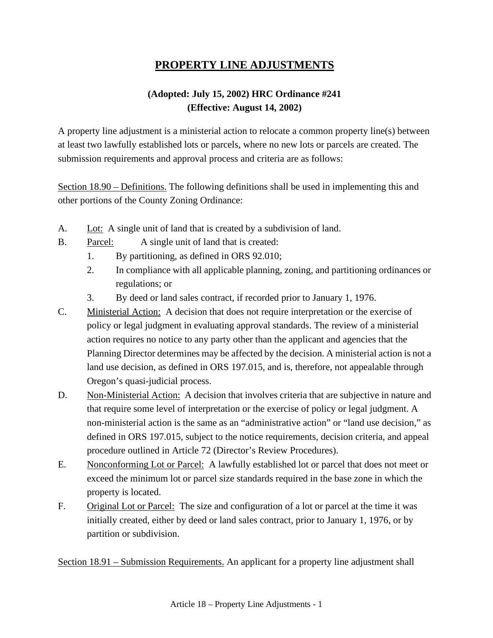# **PROPERTY LINE ADJUSTMENTS**

# **(Adopted: July 15, 2002) HRC Ordinance #241 (Effective: August 14, 2002)**

A property line adjustment is a ministerial action to relocate a common property line(s) between at least two lawfully established lots or parcels, where no new lots or parcels are created. The submission requirements and approval process and criteria are as follows:

Section 18.90 – Definitions. The following definitions shall be used in implementing this and other portions of the County Zoning Ordinance:

- A. Lot: A single unit of land that is created by a subdivision of land.
- B. Parcel: A single unit of land that is created:
	- 1. By partitioning, as defined in ORS 92.010;
	- 2. In compliance with all applicable planning, zoning, and partitioning ordinances or regulations; or
	- 3. By deed or land sales contract, if recorded prior to January 1, 1976.
- C. Ministerial Action: A decision that does not require interpretation or the exercise of policy or legal judgment in evaluating approval standards. The review of a ministerial action requires no notice to any party other than the applicant and agencies that the Planning Director determines may be affected by the decision. A ministerial action is not a land use decision, as defined in ORS 197.015, and is, therefore, not appealable through Oregon's quasi-judicial process.
- D. Non-Ministerial Action: A decision that involves criteria that are subjective in nature and that require some level of interpretation or the exercise of policy or legal judgment. A non-ministerial action is the same as an "administrative action" or "land use decision," as defined in ORS 197.015, subject to the notice requirements, decision criteria, and appeal procedure outlined in Article 72 (Director's Review Procedures).
- E. Nonconforming Lot or Parcel: A lawfully established lot or parcel that does not meet or exceed the minimum lot or parcel size standards required in the base zone in which the property is located.
- F. Original Lot or Parcel: The size and configuration of a lot or parcel at the time it was initially created, either by deed or land sales contract, prior to January 1, 1976, or by partition or subdivision.

Section 18.91 – Submission Requirements. An applicant for a property line adjustment shall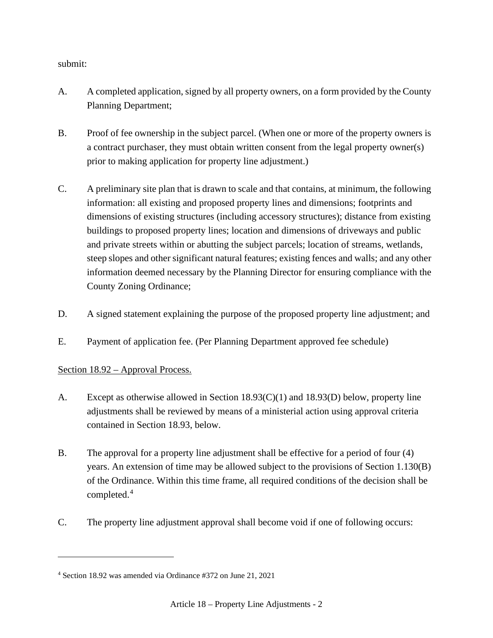submit:

- A. A completed application, signed by all property owners, on a form provided by the County Planning Department;
- B. Proof of fee ownership in the subject parcel. (When one or more of the property owners is a contract purchaser, they must obtain written consent from the legal property owner(s) prior to making application for property line adjustment.)
- C. A preliminary site plan that is drawn to scale and that contains, at minimum, the following information: all existing and proposed property lines and dimensions; footprints and dimensions of existing structures (including accessory structures); distance from existing buildings to proposed property lines; location and dimensions of driveways and public and private streets within or abutting the subject parcels; location of streams, wetlands, steep slopes and other significant natural features; existing fences and walls; and any other information deemed necessary by the Planning Director for ensuring compliance with the County Zoning Ordinance;
- D. A signed statement explaining the purpose of the proposed property line adjustment; and
- E. Payment of application fee. (Per Planning Department approved fee schedule)

## Section 18.92 – Approval Process.

- A. Except as otherwise allowed in Section 18.93(C)(1) and 18.93(D) below, property line adjustments shall be reviewed by means of a ministerial action using approval criteria contained in Section 18.93, below.
- B. The approval for a property line adjustment shall be effective for a period of four (4) years. An extension of time may be allowed subject to the provisions of Section 1.130(B) of the Ordinance. Within this time frame, all required conditions of the decision shall be completed.<sup>[4](#page-50-0)</sup>
- C. The property line adjustment approval shall become void if one of following occurs:

<span id="page-50-0"></span><sup>4</sup> Section 18.92 was amended via Ordinance #372 on June 21, 2021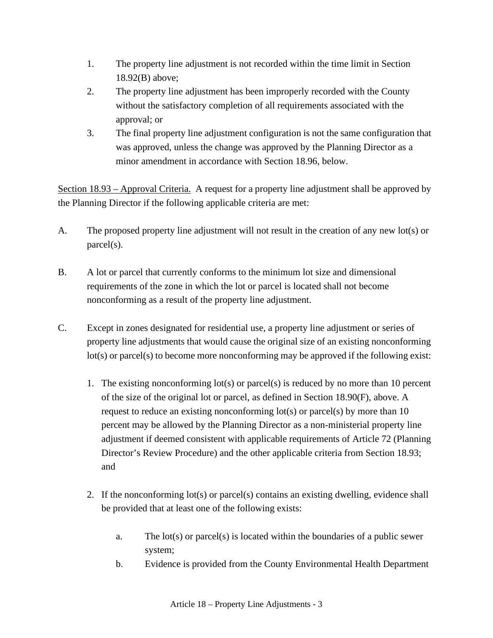- 1. The property line adjustment is not recorded within the time limit in Section 18.92(B) above;
- 2. The property line adjustment has been improperly recorded with the County without the satisfactory completion of all requirements associated with the approval; or
- 3. The final property line adjustment configuration is not the same configuration that was approved, unless the change was approved by the Planning Director as a minor amendment in accordance with Section 18.96, below.

Section 18.93 – Approval Criteria. A request for a property line adjustment shall be approved by the Planning Director if the following applicable criteria are met:

- A. The proposed property line adjustment will not result in the creation of any new lot(s) or parcel(s).
- B. A lot or parcel that currently conforms to the minimum lot size and dimensional requirements of the zone in which the lot or parcel is located shall not become nonconforming as a result of the property line adjustment.
- C. Except in zones designated for residential use, a property line adjustment or series of property line adjustments that would cause the original size of an existing nonconforming lot(s) or parcel(s) to become more nonconforming may be approved if the following exist:
	- 1. The existing nonconforming lot(s) or parcel(s) is reduced by no more than 10 percent of the size of the original lot or parcel, as defined in Section 18.90(F), above. A request to reduce an existing nonconforming lot(s) or parcel(s) by more than 10 percent may be allowed by the Planning Director as a non-ministerial property line adjustment if deemed consistent with applicable requirements of Article 72 (Planning Director's Review Procedure) and the other applicable criteria from Section 18.93; and
	- 2. If the nonconforming lot(s) or parcel(s) contains an existing dwelling, evidence shall be provided that at least one of the following exists:
		- a. The lot(s) or parcel(s) is located within the boundaries of a public sewer system;
		- b. Evidence is provided from the County Environmental Health Department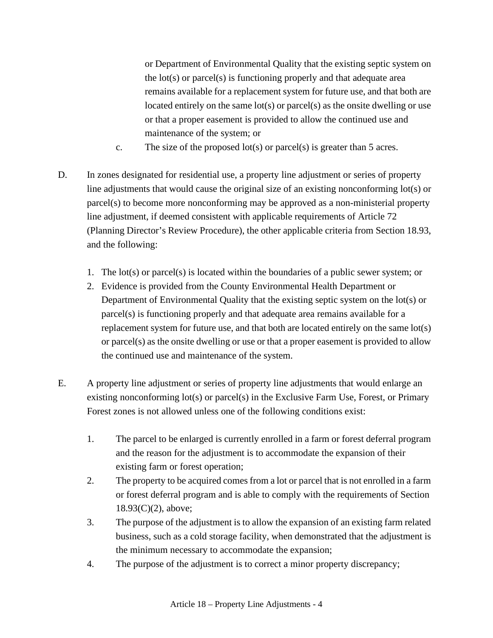or Department of Environmental Quality that the existing septic system on the lot(s) or parcel(s) is functioning properly and that adequate area remains available for a replacement system for future use, and that both are located entirely on the same lot(s) or parcel(s) as the onsite dwelling or use or that a proper easement is provided to allow the continued use and maintenance of the system; or

- c. The size of the proposed lot(s) or parcel(s) is greater than 5 acres.
- D. In zones designated for residential use, a property line adjustment or series of property line adjustments that would cause the original size of an existing nonconforming lot(s) or parcel(s) to become more nonconforming may be approved as a non-ministerial property line adjustment, if deemed consistent with applicable requirements of Article 72 (Planning Director's Review Procedure), the other applicable criteria from Section 18.93, and the following:
	- 1. The lot(s) or parcel(s) is located within the boundaries of a public sewer system; or
	- 2. Evidence is provided from the County Environmental Health Department or Department of Environmental Quality that the existing septic system on the lot(s) or parcel(s) is functioning properly and that adequate area remains available for a replacement system for future use, and that both are located entirely on the same lot(s) or parcel(s) as the onsite dwelling or use or that a proper easement is provided to allow the continued use and maintenance of the system.
- E. A property line adjustment or series of property line adjustments that would enlarge an existing nonconforming lot(s) or parcel(s) in the Exclusive Farm Use, Forest, or Primary Forest zones is not allowed unless one of the following conditions exist:
	- 1. The parcel to be enlarged is currently enrolled in a farm or forest deferral program and the reason for the adjustment is to accommodate the expansion of their existing farm or forest operation;
	- 2. The property to be acquired comes from a lot or parcel that is not enrolled in a farm or forest deferral program and is able to comply with the requirements of Section 18.93(C)(2), above;
	- 3. The purpose of the adjustment is to allow the expansion of an existing farm related business, such as a cold storage facility, when demonstrated that the adjustment is the minimum necessary to accommodate the expansion;
	- 4. The purpose of the adjustment is to correct a minor property discrepancy;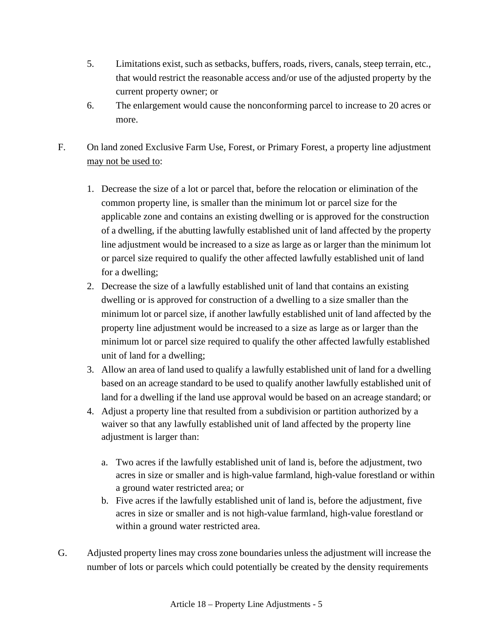- 5. Limitations exist, such as setbacks, buffers, roads, rivers, canals, steep terrain, etc., that would restrict the reasonable access and/or use of the adjusted property by the current property owner; or
- 6. The enlargement would cause the nonconforming parcel to increase to 20 acres or more.
- F. On land zoned Exclusive Farm Use, Forest, or Primary Forest, a property line adjustment may not be used to:
	- 1. Decrease the size of a lot or parcel that, before the relocation or elimination of the common property line, is smaller than the minimum lot or parcel size for the applicable zone and contains an existing dwelling or is approved for the construction of a dwelling, if the abutting lawfully established unit of land affected by the property line adjustment would be increased to a size as large as or larger than the minimum lot or parcel size required to qualify the other affected lawfully established unit of land for a dwelling;
	- 2. Decrease the size of a lawfully established unit of land that contains an existing dwelling or is approved for construction of a dwelling to a size smaller than the minimum lot or parcel size, if another lawfully established unit of land affected by the property line adjustment would be increased to a size as large as or larger than the minimum lot or parcel size required to qualify the other affected lawfully established unit of land for a dwelling;
	- 3. Allow an area of land used to qualify a lawfully established unit of land for a dwelling based on an acreage standard to be used to qualify another lawfully established unit of land for a dwelling if the land use approval would be based on an acreage standard; or
	- 4. Adjust a property line that resulted from a subdivision or partition authorized by a waiver so that any lawfully established unit of land affected by the property line adjustment is larger than:
		- a. Two acres if the lawfully established unit of land is, before the adjustment, two acres in size or smaller and is high-value farmland, high-value forestland or within a ground water restricted area; or
		- b. Five acres if the lawfully established unit of land is, before the adjustment, five acres in size or smaller and is not high-value farmland, high-value forestland or within a ground water restricted area.
- G. Adjusted property lines may cross zone boundaries unless the adjustment will increase the number of lots or parcels which could potentially be created by the density requirements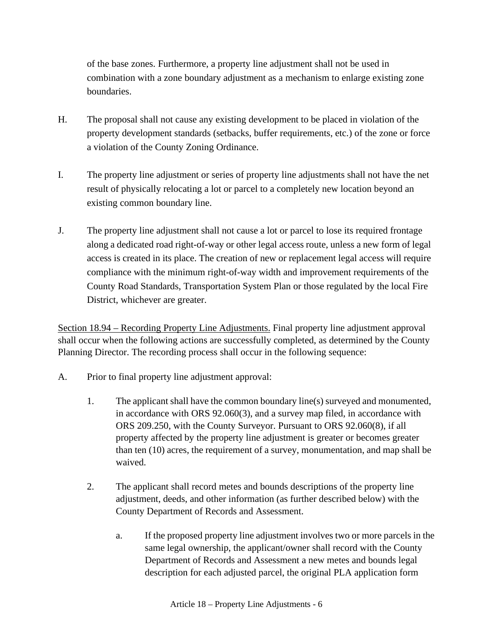of the base zones. Furthermore, a property line adjustment shall not be used in combination with a zone boundary adjustment as a mechanism to enlarge existing zone boundaries.

- H. The proposal shall not cause any existing development to be placed in violation of the property development standards (setbacks, buffer requirements, etc.) of the zone or force a violation of the County Zoning Ordinance.
- I. The property line adjustment or series of property line adjustments shall not have the net result of physically relocating a lot or parcel to a completely new location beyond an existing common boundary line.
- J. The property line adjustment shall not cause a lot or parcel to lose its required frontage along a dedicated road right-of-way or other legal access route, unless a new form of legal access is created in its place. The creation of new or replacement legal access will require compliance with the minimum right-of-way width and improvement requirements of the County Road Standards, Transportation System Plan or those regulated by the local Fire District, whichever are greater.

Section 18.94 – Recording Property Line Adjustments. Final property line adjustment approval shall occur when the following actions are successfully completed, as determined by the County Planning Director. The recording process shall occur in the following sequence:

- A. Prior to final property line adjustment approval:
	- 1. The applicant shall have the common boundary line(s) surveyed and monumented, in accordance with ORS 92.060(3), and a survey map filed, in accordance with ORS 209.250, with the County Surveyor. Pursuant to ORS 92.060(8), if all property affected by the property line adjustment is greater or becomes greater than ten (10) acres, the requirement of a survey, monumentation, and map shall be waived.
	- 2. The applicant shall record metes and bounds descriptions of the property line adjustment, deeds, and other information (as further described below) with the County Department of Records and Assessment.
		- a. If the proposed property line adjustment involves two or more parcels in the same legal ownership, the applicant/owner shall record with the County Department of Records and Assessment a new metes and bounds legal description for each adjusted parcel, the original PLA application form